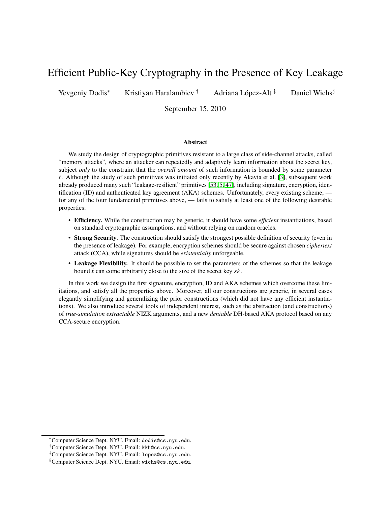# Efficient Public-Key Cryptography in the Presence of Key Leakage

Yevgeniy Dodis<sup>∗</sup> Kristiyan Haralambiev <sup>†</sup> Adriana López-Alt <sup>‡</sup>

Daniel Wichs<sup>§</sup>

September 15, 2010

#### Abstract

We study the design of cryptographic primitives resistant to a large class of side-channel attacks, called "memory attacks", where an attacker can repeatedly and adaptively learn information about the secret key, subject *only* to the constraint that the *overall amount* of such information is bounded by some parameter  $\ell$ . Although the study of such primitives was initiated only recently by Akavia et al. [\[3\]](#page-15-0), subsequent work already produced many such "leakage-resilient" primitives [\[53,](#page-18-0) [5,](#page-15-1) [47\]](#page-18-1), including signature, encryption, identification (ID) and authenticated key agreement (AKA) schemes. Unfortunately, every existing scheme, for any of the four fundamental primitives above, — fails to satisfy at least one of the following desirable properties:

- Efficiency. While the construction may be generic, it should have some *efficient* instantiations, based on standard cryptographic assumptions, and without relying on random oracles.
- Strong Security. The construction should satisfy the strongest possible definition of security (even in the presence of leakage). For example, encryption schemes should be secure against chosen *ciphertext* attack (CCA), while signatures should be *existentially* unforgeable.
- Leakage Flexibility. It should be possible to set the parameters of the schemes so that the leakage bound  $\ell$  can come arbitrarily close to the size of the secret key sk.

In this work we design the first signature, encryption, ID and AKA schemes which overcome these limitations, and satisfy all the properties above. Moreover, all our constructions are generic, in several cases elegantly simplifying and generalizing the prior constructions (which did not have any efficient instantiations). We also introduce several tools of independent interest, such as the abstraction (and constructions) of *true-simulation extractable* NIZK arguments, and a new *deniable* DH-based AKA protocol based on any CCA-secure encryption.

<sup>∗</sup>Computer Science Dept. NYU. Email: dodis@cs.nyu.edu.

<sup>†</sup>Computer Science Dept. NYU. Email: kkh@cs.nyu.edu.

<sup>‡</sup>Computer Science Dept. NYU. Email: lopez@cs.nyu.edu.

<sup>§</sup>Computer Science Dept. NYU. Email: wichs@cs.nyu.edu.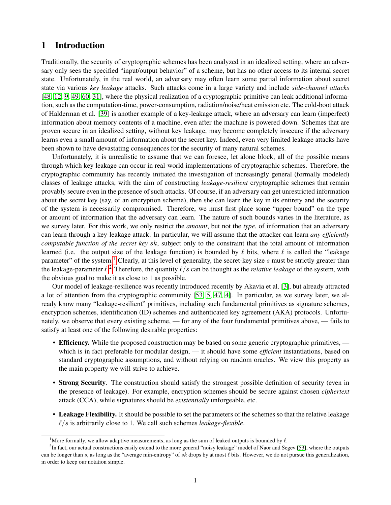## 1 Introduction

Traditionally, the security of cryptographic schemes has been analyzed in an idealized setting, where an adversary only sees the specified "input/output behavior" of a scheme, but has no other access to its internal secret state. Unfortunately, in the real world, an adversary may often learn some partial information about secret state via various *key leakage* attacks. Such attacks come in a large variety and include *side-channel attacks* [\[48,](#page-18-2) [12,](#page-16-0) [9,](#page-16-1) [49,](#page-18-3) [60,](#page-19-0) [31\]](#page-17-0), where the physical realization of a cryptographic primitive can leak additional information, such as the computation-time, power-consumption, radiation/noise/heat emission etc. The cold-boot attack of Halderman et al. [\[39\]](#page-17-1) is another example of a key-leakage attack, where an adversary can learn (imperfect) information about memory contents of a machine, even after the machine is powered down. Schemes that are proven secure in an idealized setting, without key leakage, may become completely insecure if the adversary learns even a small amount of information about the secret key. Indeed, even very limited leakage attacks have been shown to have devastating consequences for the security of many natural schemes.

Unfortunately, it is unrealistic to assume that we can foresee, let alone block, all of the possible means through which key leakage can occur in real-world implementations of cryptographic schemes. Therefore, the cryptographic community has recently initiated the investigation of increasingly general (formally modeled) classes of leakage attacks, with the aim of constructing *leakage-resilient* cryptographic schemes that remain provably secure even in the presence of such attacks. Of course, if an adversary can get unrestricted information about the secret key (say, of an encryption scheme), then she can learn the key in its entirety and the security of the system is necessarily compromised. Therefore, we must first place some "upper bound" on the type or amount of information that the adversary can learn. The nature of such bounds varies in the literature, as we survey later. For this work, we only restrict the *amount*, but not the *type*, of information that an adversary can learn through a key-leakage attack. In particular, we will assume that the attacker can learn *any efficiently computable function of the secret key* sk, subject only to the constraint that the total amount of information learned (i.e. the output size of the leakage function) is bounded by  $\ell$  bits, where  $\ell$  is called the "leakage parameter" of the system.<sup>[1](#page-1-0)</sup> Clearly, at this level of generality, the secret-key size  $s$  must be strictly greater than the leakage-parameter  $\ell$ .<sup>[2](#page-1-1)</sup> Therefore, the quantity  $\ell/s$  can be thought as the *relative leakage* of the system, with the obvious goal to make it as close to 1 as possible.

Our model of leakage-resilience was recently introduced recently by Akavia et al. [\[3\]](#page-15-0), but already attracted a lot of attention from the cryptographic community [\[53,](#page-18-0) [5,](#page-15-1) [47,](#page-18-1) [4\]](#page-15-2). In particular, as we survey later, we already know many "leakage-resilient" primitives, including such fundamental primitives as signature schemes, encryption schemes, identification (ID) schemes and authenticated key agreement (AKA) protocols. Unfortunately, we observe that every existing scheme, — for any of the four fundamental primitives above, — fails to satisfy at least one of the following desirable properties:

- Efficiency. While the proposed construction may be based on some generic cryptographic primitives, which is in fact preferable for modular design, — it should have some *efficient* instantiations, based on standard cryptographic assumptions, and without relying on random oracles. We view this property as the main property we will strive to achieve.
- Strong Security. The construction should satisfy the strongest possible definition of security (even in the presence of leakage). For example, encryption schemes should be secure against chosen *ciphertext* attack (CCA), while signatures should be *existentially* unforgeable, etc.
- Leakage Flexibility. It should be possible to set the parameters of the schemes so that the relative leakage  $\ell/s$  is arbitrarily close to 1. We call such schemes *leakage-flexible*.

<span id="page-1-1"></span><span id="page-1-0"></span><sup>&</sup>lt;sup>1</sup>More formally, we allow adaptive measurements, as long as the sum of leaked outputs is bounded by  $\ell$ .

<sup>&</sup>lt;sup>2</sup>In fact, our actual constructions easily extend to the more general "noisy leakage" model of Naor and Segev [\[53\]](#page-18-0), where the outputs can be longer than s, as long as the "average min-entropy" of sk drops by at most  $\ell$  bits. However, we do not pursue this generalization, in order to keep our notation simple.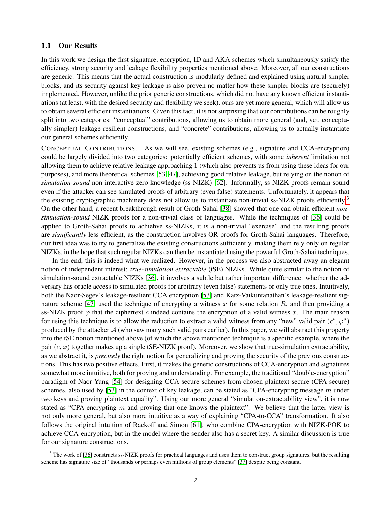### 1.1 Our Results

In this work we design the first signature, encryption, ID and AKA schemes which simultaneously satisfy the efficiency, strong security and leakage flexibility properties mentioned above. Moreover, all our constructions are generic. This means that the actual construction is modularly defined and explained using natural simpler blocks, and its security against key leakage is also proven no matter how these simpler blocks are (securely) implemented. However, unlike the prior generic constructions, which did not have any known efficient instantiations (at least, with the desired security and flexibility we seek), ours are yet more general, which will allow us to obtain several efficient instantiations. Given this fact, it is not surprising that our contributions can be roughly split into two categories: "conceptual" contributions, allowing us to obtain more general (and, yet, conceptually simpler) leakage-resilient constructions, and "concrete" contributions, allowing us to actually instantiate our general schemes efficiently.

CONCEPTUAL CONTRIBUTIONS. As we will see, existing schemes (e.g., signature and CCA-encryption) could be largely divided into two categories: potentially efficient schemes, with some *inherent* limitation not allowing them to achieve relative leakage approaching 1 (which also prevents us from using these ideas for our purposes), and more theoretical schemes [\[53,](#page-18-0) [47\]](#page-18-1), achieving good relative leakage, but relying on the notion of *simulation-sound* non-interactive zero-knowledge (ss-NIZK) [\[62\]](#page-19-1). Informally, ss-NIZK proofs remain sound even if the attacker can see simulated proofs of arbitrary (even false) statements. Unfortunately, it appears that the existing cryptographic machinery does not allow us to instantiate non-trivial ss-NIZK proofs efficiently.<sup>[3](#page-2-0)</sup> On the other hand, a recent breakthrough result of Groth-Sahai [\[38\]](#page-17-2) showed that one can obtain efficient *nonsimulation-sound* NIZK proofs for a non-trivial class of languages. While the techniques of [\[36\]](#page-17-3) could be applied to Groth-Sahai proofs to achiehve ss-NIZKs, it is a non-trivial "exercise" and the resulting proofs are *significantly* less efficient, as the construction involves OR-proofs for Groth-Sahai languages. Therefore, our first idea was to try to generalize the existing constructions sufficiently, making them rely only on regular NIZKs, in the hope that such regular NIZKs can then be instantiated using the powerful Groth-Sahai techniques.

In the end, this is indeed what we realized. However, in the process we also abstracted away an elegant notion of independent interest: *true-simulation extractable* (tSE) NIZKs. While quite similar to the notion of simulation-sound extractable NIZKs [\[36\]](#page-17-3), it involves a subtle but rather important difference: whether the adversary has oracle access to simulated proofs for arbitrary (even false) statements or only true ones. Intuitively, both the Naor-Segev's leakage-resilient CCA encryption [\[53\]](#page-18-0) and Katz-Vaikuntanathan's leakage-resilient sig-nature scheme [\[47\]](#page-18-1) used the technique of encrypting a witness x for some relation  $R$ , and then providing a ss-NIZK proof  $\varphi$  that the ciphertext c indeed contains the encryption of a valid witness x. The main reason for using this technique is to allow the reduction to extract a valid witness from any "new" valid pair  $(c^*, \varphi^*)$ produced by the attacker  $A$  (who saw many such valid pairs earlier). In this paper, we will abstract this property into the tSE notion mentioned above (of which the above mentioned technique is a specific example, where the pair  $(c, \varphi)$  together makes up a single tSE-NIZK proof). Moreover, we show that true-simulation extractability, as we abstract it, is *precisely* the right notion for generalizing and proving the security of the previous constructions. This has two positive effects. First, it makes the generic constructions of CCA-encryption and signatures somewhat more intuitive, both for proving and understanding. For example, the traditional "double-encryption" paradigm of Naor-Yung [\[54\]](#page-18-4) for designing CCA-secure schemes from chosen-plaintext secure (CPA-secure) schemes, also used by [\[53\]](#page-18-0) in the context of key leakage, can be stated as "CPA-encrypting message  $m$  under two keys and proving plaintext equality". Using our more general "simulation-extractability view", it is now stated as "CPA-encrypting  $m$  and proving that one knows the plaintext". We believe that the latter view is not only more general, but also more intuitive as a way of explaining "CPA-to-CCA" transformation. It also follows the original intuition of Rackoff and Simon [\[61\]](#page-19-2), who combine CPA-encryption with NIZK-POK to achieve CCA-encryption, but in the model where the sender also has a secret key. A similar discussion is true for our signature constructions.

<span id="page-2-0"></span><sup>&</sup>lt;sup>3</sup> The work of [\[36\]](#page-17-3) constructs ss-NIZK proofs for practical languages and uses them to construct group signatures, but the resulting scheme has signature size of "thousands or perhaps even millions of group elements" [\[37\]](#page-17-4) despite being constant.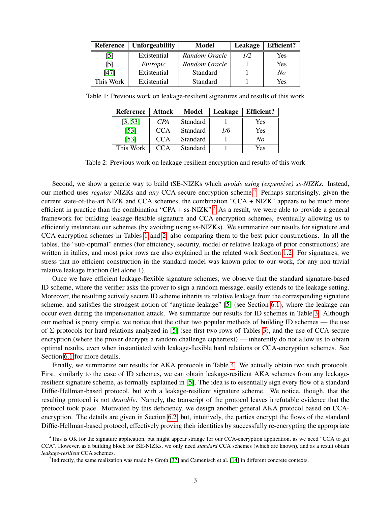| <b>Reference</b>  | <b>Unforgeability</b> | Model         | Leakage | <b>Efficient?</b> |
|-------------------|-----------------------|---------------|---------|-------------------|
| [5]               | Existential           | Random Oracle | 1/2     | Yes               |
| $\lceil 5 \rceil$ | Entropic              | Random Oracle |         | Yes               |
| [47]              | Existential           | Standard      |         | No                |
| This Work         | Existential           | Standard      |         | Yes               |

Table 1: Previous work on leakage-resilient signatures and results of this work

<span id="page-3-2"></span>

| <b>Reference</b> | <b>Attack</b>   | Model           | Leakage | <b>Efficient?</b> |
|------------------|-----------------|-----------------|---------|-------------------|
| [3, 53]          | CPA <sup></sup> | <b>Standard</b> |         | Yes               |
| $[53]$           | CCA             | <b>Standard</b> | 1/6     | Yes               |
| $[53]$           | CCA             | <b>Standard</b> |         | No                |
| This Work        | CCA             | <b>Standard</b> |         | Yes               |

<span id="page-3-3"></span>Table 2: Previous work on leakage-resilient encryption and results of this work

Second, we show a generic way to build tSE-NIZKs which *avoids using (expensive) ss-NIZKs*. Instead, our method uses *regular* NIZKs and *any* CCA-secure encryption scheme.<sup>[4](#page-3-0)</sup> Perhaps surprisingly, given the current state-of-the-art NIZK and CCA schemes, the combination "CCA + NIZK" appears to be much more efficient in practice than the combination "CPA + ss-NIZK".<sup>[5](#page-3-1)</sup> As a result, we were able to provide a general framework for building leakage-flexible signature and CCA-encryption schemes, eventually allowing us to efficiently instantiate our schemes (by avoiding using ss-NIZKs). We summarize our results for signature and CCA-encryption schemes in Tables [1](#page-3-2) and [2,](#page-3-3) also comparing them to the best prior constructions. In all the tables, the "sub-optimal" entries (for efficiency, security, model or relative leakage of prior constructions) are written in italics, and most prior rows are also explained in the related work Section [1.2.](#page-5-0) For signatures, we stress that no efficient construction in the standard model was known prior to our work, for any non-trivial relative leakage fraction (let alone 1).

Once we have efficient leakage-flexible signature schemes, we observe that the standard signature-based ID scheme, where the verifier asks the prover to sign a random message, easily extends to the leakage setting. Moreover, the resulting actively secure ID scheme inherits its relative leakage from the corresponding signature scheme, and satisfies the strongest notion of "anytime-leakage" [\[5\]](#page-15-1) (see Section [6.1\)](#page-13-0), where the leakage can occur even during the impersonation attack. We summarize our results for ID schemes in Table [3.](#page-4-0) Although our method is pretty simple, we notice that the other two popular methods of building ID schemes — the use of Σ-protocols for hard relations analyzed in [\[5\]](#page-15-1) (see first two rows of Tables [3\)](#page-4-0), and the use of CCA-secure encryption (where the prover decrypts a random challenge ciphertext) — inherently do not allow us to obtain optimal results, even when instantiated with leakage-flexible hard relations or CCA-encryption schemes. See Section [6.1](#page-13-0) for more details.

Finally, we summarize our results for AKA protocols in Table [4.](#page-4-1) We actually obtain two such protocols. First, similarly to the case of ID schemes, we can obtain leakage-resilient AKA schemes from any leakageresilient signature scheme, as formally explained in [\[5\]](#page-15-1). The idea is to essentially sign every flow of a standard Diffie-Hellman-based protocol, but with a leakage-resilient signature scheme. We notice, though, that the resulting protocol is not *deniable*. Namely, the transcript of the protocol leaves irrefutable evidence that the protocol took place. Motivated by this deficiency, we design another general AKA protocol based on CCAencryption. The details are given in Section [6.2,](#page-14-0) but, intuitively, the parties encrypt the flows of the standard Diffie-Hellman-based protocol, effectively proving their identities by successfully re-encrypting the appropriate

<span id="page-3-0"></span><sup>4</sup>This is OK for the signature application, but might appear strange for our CCA-encryption application, as we need "CCA to get CCA". However, as a building block for tSE-NIZKs, we only need *standard* CCA schemes (which are known), and as a result obtain *leakage-resilient* CCA schemes.

<span id="page-3-1"></span><sup>&</sup>lt;sup>5</sup>Indirectly, the same realization was made by Groth [\[37\]](#page-17-4) and Camenisch et al. [\[14\]](#page-16-2) in different concrete contexts.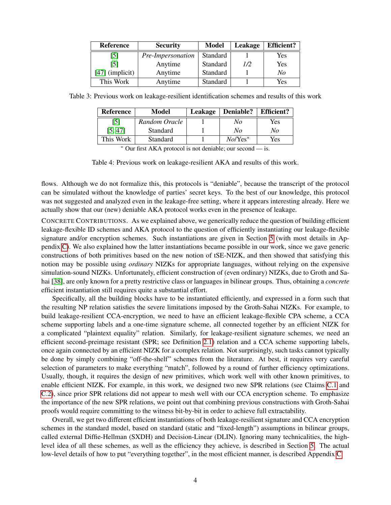| <b>Reference</b>  | <b>Security</b>   | <b>Model</b> | Leakage | <b>Efficient?</b> |
|-------------------|-------------------|--------------|---------|-------------------|
| [5]               | Pre-Impersonation | Standard     |         | Yes               |
| [5]               | Anytime           | Standard     | 1/2     | <b>Yes</b>        |
| $[47]$ (implicit) | Anytime           | Standard     |         | No                |
| This Work         | Anytime           | Standard     |         | Yes               |

Table 3: Previous work on leakage-resilient identification schemes and results of this work

<span id="page-4-0"></span>

| Yes<br>No         |
|-------------------|
| No<br>No          |
| Yes<br>$No/Yes^*$ |
|                   |

<span id="page-4-1"></span><sup>∗</sup> Our first AKA protocol is not deniable; our second — is.

Table 4: Previous work on leakage-resilient AKA and results of this work.

flows. Although we do not formalize this, this protocols is "deniable", because the transcript of the protocol can be simulated without the knowledge of parties' secret keys. To the best of our knowledge, this protocol was not suggested and analyzed even in the leakage-free setting, where it appears interesting already. Here we actually show that our (new) deniable AKA protocol works even in the presence of leakage.

CONCRETE CONTRIBUTIONS. As we explained above, we generically reduce the question of building efficient leakage-flexible ID schemes and AKA protocol to the question of efficiently instantiating our leakage-flexible signature and/or encryption schemes. Such instantiations are given in Section [5](#page-11-0) (with most details in Appendix [C\)](#page-27-0). We also explained how the latter instantiations became possible in our work, since we gave generic constructions of both primitives based on the new notion of tSE-NIZK, and then showed that satisfying this notion may be possible using *ordinary* NIZKs for appropriate languages, without relying on the expensive simulation-sound NIZKs. Unfortunately, efficient construction of (even ordinary) NIZKs, due to Groth and Sahai [\[38\]](#page-17-2), are only known for a pretty restrictive class or languages in bilinear groups. Thus, obtaining a *concrete* efficient instantiation still requires quite a substantial effort.

Specifically, all the building blocks have to be instantiated efficiently, and expressed in a form such that the resulting NP relation satisfies the severe limitations imposed by the Groth-Sahai NIZKs. For example, to build leakage-resilient CCA-encryption, we need to have an efficient leakage-flexible CPA scheme, a CCA scheme supporting labels and a one-time signature scheme, all connected together by an efficient NIZK for a complicated "plaintext equality" relation. Similarly, for leakage-resilient signature schemes, we need an efficient second-preimage resistant (SPR; see Definition [2.1\)](#page-6-0) relation and a CCA scheme supporting labels, once again connected by an efficient NIZK for a complex relation. Not surprisingly, such tasks cannot typically be done by simply combining "off-the-shelf" schemes from the literature. At best, it requires very careful selection of parameters to make everything "match", followed by a round of further efficiency optimizations. Usually, though, it requires the design of new primitives, which work well with other known primitives, to enable efficient NIZK. For example, in this work, we designed two new SPR relations (see Claims [C.1](#page-28-0) and [C.2\)](#page-29-0), since prior SPR relations did not appear to mesh well with our CCA encryption scheme. To emphasize the importance of the new SPR relations, we point out that combining previous constructions with Groth-Sahai proofs would require committing to the witness bit-by-bit in order to achieve full extractability.

Overall, we get two different efficient instantiations of both leakage-resilient signature and CCA encryption schemes in the standard model, based on standard (static and "fixed-length") assumptions in bilinear groups, called external Diffie-Hellman (SXDH) and Decision-Linear (DLIN). Ignoring many technicalities, the highlevel idea of all these schemes, as well as the efficiency they achieve, is described in Section [5.](#page-11-0) The actual low-level details of how to put "everything together", in the most efficient manner, is described Appendix [C.](#page-27-0)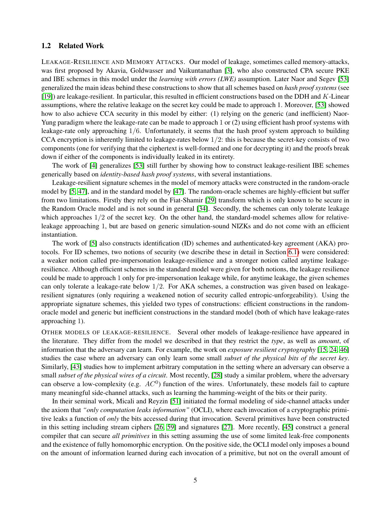### <span id="page-5-0"></span>1.2 Related Work

LEAKAGE-RESILIENCE AND MEMORY ATTACKS. Our model of leakage, sometimes called memory-attacks, was first proposed by Akavia, Goldwasser and Vaikuntanathan [\[3\]](#page-15-0), who also constructed CPA secure PKE and IBE schemes in this model under the *learning with errors (LWE)* assumption. Later Naor and Segev [\[53\]](#page-18-0) generalized the main ideas behind these constructions to show that all schemes based on *hash proof systems* (see [\[19\]](#page-16-3)) are leakage-resilient. In particular, this resulted in efficient constructions based on the DDH and K-Linear assumptions, where the relative leakage on the secret key could be made to approach 1. Moreover, [\[53\]](#page-18-0) showed how to also achieve CCA security in this model by either: (1) relying on the generic (and inefficient) Naor-Yung paradigm where the leakage-rate can be made to approach 1 or (2) using efficient hash proof systems with leakage-rate only approaching 1/6. Unfortunately, it seems that the hash proof system approach to building CCA encryption is inherently limited to leakage-rates below  $1/2$ : this is because the secret-key consists of two components (one for verifying that the ciphertext is well-formed and one for decrypting it) and the proofs break down if either of the components is individually leaked in its entirety.

The work of [\[4\]](#page-15-2) generalizes [\[53\]](#page-18-0) still further by showing how to construct leakage-resilient IBE schemes generically based on *identity-based hash proof systems*, with several instantiations.

Leakage-resilient signature schemes in the model of memory attacks were constructed in the random-oracle model by [\[5,](#page-15-1) [47\]](#page-18-1), and in the standard model by [\[47\]](#page-18-1). The random-oracle schemes are highly-efficient but suffer from two limitations. Firstly they rely on the Fiat-Shamir [\[29\]](#page-17-5) transform which is only known to be secure in the Random Oracle model and is not sound in general [\[34\]](#page-17-6). Secondly, the schemes can only tolerate leakage which approaches  $1/2$  of the secret key. On the other hand, the standard-model schemes allow for relativeleakage approaching 1, but are based on generic simulation-sound NIZKs and do not come with an efficient instantiation.

The work of [\[5\]](#page-15-1) also constructs identification (ID) schemes and authenticated-key agreement (AKA) protocols. For ID schemes, two notions of security (we describe these in detail in Section [6.1\)](#page-13-0) were considered: a weaker notion called pre-impersonation leakage-resilience and a stronger notion called anytime leakageresilience. Although efficient schemes in the standard model were given for both notions, the leakage resilience could be made to approach 1 only for pre-impersonation leakage while, for anytime leakage, the given schemes can only tolerate a leakage-rate below  $1/2$ . For AKA schemes, a construction was given based on leakageresilient signatures (only requiring a weakened notion of security called entropic-unforgeability). Using the appropriate signature schemes, this yielded two types of constructions: efficient constructions in the randomoracle model and generic but inefficient constructions in the standard model (both of which have leakage-rates approaching 1).

OTHER MODELS OF LEAKAGE-RESILIENCE. Several other models of leakage-resilience have appeared in the literature. They differ from the model we described in that they restrict the *type*, as well as *amount*, of information that the adversary can learn. For example, the work on *exposure resilient cryptography* [\[15,](#page-16-4) [24,](#page-17-7) [46\]](#page-18-5) studies the case where an adversary can only learn some small *subset of the physical bits of the secret key*. Similarly, [\[43\]](#page-18-6) studies how to implement arbitrary computation in the setting where an adversary can observe a small *subset of the physical wires of a circuit*. Most recently, [\[28\]](#page-17-8) study a similar problem, where the adversary can observe a low-complexity (e.g.  $AC<sup>0</sup>$ ) function of the wires. Unfortunately, these models fail to capture many meaningful side-channel attacks, such as learning the hamming-weight of the bits or their parity.

In their seminal work, Micali and Reyzin [\[51\]](#page-18-7) initiated the formal modeling of side-channel attacks under the axiom that *"only computation leaks information"* (OCLI), where each invocation of a cryptographic primitive leaks a function of *only* the bits accessed during that invocation. Several primitives have been constructed in this setting including stream ciphers [\[26,](#page-17-9) [59\]](#page-19-3) and signatures [\[27\]](#page-17-10). More recently, [\[45\]](#page-18-8) construct a general compiler that can secure *all primitives* in this setting assuming the use of some limited leak-free components and the existence of fully homomorphic encryption. On the positive side, the OCLI model only imposes a bound on the amount of information learned during each invocation of a primitive, but not on the overall amount of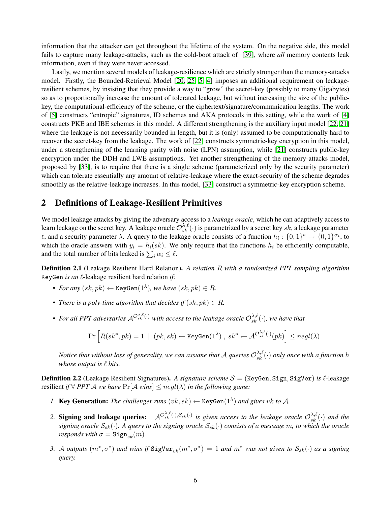information that the attacker can get throughout the lifetime of the system. On the negative side, this model fails to capture many leakage-attacks, such as the cold-boot attack of [\[39\]](#page-17-1), where *all* memory contents leak information, even if they were never accessed.

Lastly, we mention several models of leakage-resilience which are strictly stronger than the memory-attacks model. Firstly, the Bounded-Retrieval Model [\[20,](#page-16-5) [25,](#page-17-11) [5,](#page-15-1) [4\]](#page-15-2) imposes an additional requirement on leakageresilient schemes, by insisting that they provide a way to "grow" the secret-key (possibly to many Gigabytes) so as to proportionally increase the amount of tolerated leakage, but without increasing the size of the publickey, the computational-efficiency of the scheme, or the ciphertext/signature/communication lengths. The work of [\[5\]](#page-15-1) constructs "entropic" signatures, ID schemes and AKA protocols in this setting, while the work of [\[4\]](#page-15-2) constructs PKE and IBE schemes in this model. A different strengthening is the auxiliary input model [\[22,](#page-16-6) [21\]](#page-16-7) where the leakage is not necessarily bounded in length, but it is (only) assumed to be computationally hard to recover the secret-key from the leakage. The work of [\[22\]](#page-16-6) constructs symmetric-key encryption in this model, under a strengthening of the learning parity with noise (LPN) assumption, while [\[21\]](#page-16-7) constructs public-key encryption under the DDH and LWE assumptions. Yet another strengthening of the memory-attacks model, proposed by [\[33\]](#page-17-12), is to require that there is a single scheme (parameterized only by the security parameter) which can tolerate essentially any amount of relative-leakage where the exact-security of the scheme degrades smoothly as the relative-leakage increases. In this model, [\[33\]](#page-17-12) construct a symmetric-key encryption scheme.

## 2 Definitions of Leakage-Resilient Primitives

We model leakage attacks by giving the adversary access to a *leakage oracle*, which he can adaptively access to learn leakage on the secret key. A leakage oracle  $\mathcal{O}_{sk}^{\lambda,\ell}(\cdot)$  is parametrized by a secret key sk, a leakage parameter l, and a security parameter  $\lambda$ . A query to the leakage oracle consists of a function  $h_i: \{0,1\}^* \to \{0,1\}^{\alpha_i}$ , to which the oracle answers with  $y_i = h_i(sk)$ . We only require that the functions  $h_i$  be efficiently computable, and the total number of bits leaked is  $\sum_i \alpha_i \leq \ell$ .

<span id="page-6-0"></span>Definition 2.1 (Leakage Resilient Hard Relation). *A relation* R *with a randomized PPT sampling algorithm* KeyGen *is an*  $\ell$ -leakage resilient hard relation *if*:

- *For any*  $(sk, pk) \leftarrow \text{KeyGen}(1^{\lambda})$ *, we have*  $(sk, pk) \in R$ *.*
- *There is a poly-time algorithm that decides if*  $(sk, pk) \in R$ *.*
- For all PPT adversaries  $\mathcal{A}^{\mathcal{O}_{sk}^{\lambda,\ell}(\cdot)}$  with access to the leakage oracle  $\mathcal{O}_{sk}^{\lambda,\ell}(\cdot)$ *, we have that*

$$
\Pr\left[R(sk^*,pk)=1\;\mid\;(pk,sk)\gets \mathtt{KeyGen}(1^{\lambda})\;,\;sk^*\gets \mathcal{A}^{\mathcal{O}_{sk}^{\lambda,\ell}(\cdot)}(pk)\right]\leq negl(\lambda)
$$

*Notice that without loss of generality, we can assume that A queries*  $\mathcal{O}_{sk}^{\lambda,\ell}(\cdot)$  *only once with a function h whose output is*  $\ell$  *bits.* 

<span id="page-6-2"></span>**Definition 2.2** (Leakage Resilient Signatures). A signature scheme  $S = (KeyGen, Sign, SigVer)$  is  $\ell$ -leakage resilient *if*  $\forall$  *PPT A we have*  $Pr[A \text{ wins}] \leq negl(\lambda)$  *in the following game:* 

- *1.* Key Generation: The challenger runs  $(vk, sk) \leftarrow \text{KeyGen}(1^{\lambda})$  and gives vk to A.
- 2. **Signing and leakage queries:**  $\mathcal{A}^{\mathcal{O}_{sk}^{\lambda,\ell}(\cdot),\mathcal{S}_{sk}(\cdot)}$  is given access to the leakage oracle  $\mathcal{O}_{sk}^{\lambda,\ell}(\cdot)$  and the *signing oracle* Ssk(·)*. A query to the signing oracle* Ssk(·) *consists of a message* m*, to which the oracle responds with*  $\sigma = \text{Sign}_{sk}(m)$ .
- <span id="page-6-1"></span>*3. A outputs*  $(m^*, \sigma^*)$  *and* wins if  $SigVer_{vk}(m^*, \sigma^*) = 1$  *and*  $m^*$  *was not given to*  $S_{sk}(\cdot)$  *as a signing query.*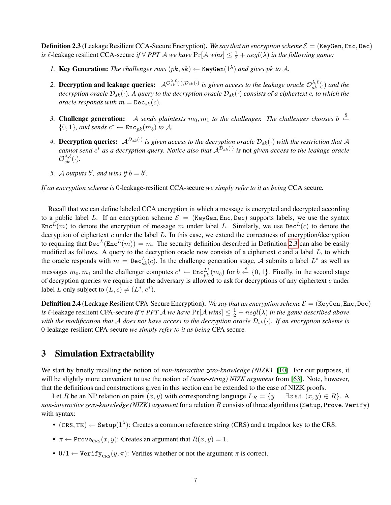**Definition 2.3** (Leakage Resilient CCA-Secure Encryption). We say that an encryption scheme  $\mathcal{E} =$  (KeyGen, Enc, Dec) *is*  $\ell$ -leakage resilient CCA-secure *if*  $\forall$  *PPT*  $\mathcal A$  *we have*  $Pr[\mathcal A$  *wins*]  $\leq \frac{1}{2} + negl(\lambda)$  *in the following game:* 

- *1.* Key Generation: The challenger runs  $(pk, sk) \leftarrow \text{KeyGen}(1^{\lambda})$  and gives pk to A.
- 2. **Decryption and leakage queries:**  $\mathcal{A}^{\mathcal{O}_{sk}^{\lambda,\ell}(\cdot),\mathcal{D}_{sk}(\cdot)}$  is given access to the leakage oracle  $\mathcal{O}_{sk}^{\lambda,\ell}(\cdot)$  and the  $decryption$  oracle  $\mathcal{D}_{sk}(\cdot)$ . A query to the decryption oracle  $\mathcal{D}_{sk}(\cdot)$  consists of a ciphertext  $c$ , to which the *oracle responds with*  $m = \text{Dec}_{sk}(c)$ *.*
- 3. Challenge generation: A sends plaintexts  $m_0, m_1$  to the challenger. The challenger chooses b  $\stackrel{\$}{\leftarrow}$  $\{0, 1\}$ *, and sends*  $c^* \leftarrow \text{Enc}_{pk}(m_b)$  to A.
- 4. Decryption queries:  $A^{\mathcal{D}_{sk}(\cdot)}$  is given access to the decryption oracle  $\mathcal{D}_{sk}(\cdot)$  with the restriction that A *cannot send*  $c^*$  *as a decryption query. Notice also that*  $\mathcal{A}^{\mathcal{D}_{sk}(\cdot)}$  *is not given access to the leakage oracle*  $\mathcal{O}_{sk}^{\lambda, \ell}(\cdot).$
- 5. A *outputs* b', and wins if  $b = b'$ .

*If an encryption scheme is* 0-leakage-resilient CCA-secure *we simply refer to it as being* CCA secure*.*

Recall that we can define labeled CCA encryption in which a message is encrypted and decrypted according to a public label L. If an encryption scheme  $\mathcal{E} =$  (KeyGen, Enc, Dec) supports labels, we use the syntax  $Enc<sup>L</sup>(m)$  to denote the encryption of message m under label L. Similarly, we use Dec<sup>L</sup>(c) to denote the decryption of ciphertext  $c$  under the label  $L$ . In this case, we extend the correctness of encryption/decryption to requiring that  $\text{Dec}^L(\text{Enc}^L(m)) = m$ . The security definition described in Definition [2.3](#page-6-1) can also be easily modified as follows. A query to the decryption oracle now consists of a ciphertext  $c$  and a label  $L$ , to which the oracle responds with  $m = \text{Dec}_{sk}^{L}(c)$ . In the challenge generation stage, A submits a label  $L^*$  as well as messages  $m_0, m_1$  and the challenger computes  $c^* \leftarrow \text{Enc}_{pk}^{L^*}(m_b)$  for  $b \stackrel{\$}{\leftarrow} \{0, 1\}$ . Finally, in the second stage of decryption queries we require that the adversary is allowed to ask for decryptions of any ciphertext  $c$  under label L only subject to  $(L, c) \neq (L^*, c^*)$ .

**Definition 2.4** (Leakage Resilient CPA-Secure Encryption). We say that an encryption scheme  $\mathcal{E} =$  (KeyGen, Enc, Dec) *is*  $\ell$ -leakage resilient CPA-secure *if*  $\forall$  *PPT A we have*  $Pr[A \text{ wins}] \leq \frac{1}{2} + negl(\lambda)$  *in the game described above with the modification that* A *does not have access to the decryption oracle*  $D_{sk}(\cdot)$ *. If an encryption scheme is* 0-leakage-resilient CPA-secure *we simply refer to it as being* CPA secure*.*

## <span id="page-7-0"></span>3 Simulation Extractability

We start by briefly recalling the notion of *non-interactive zero-knowledge (NIZK)* [\[10\]](#page-16-8). For our purposes, it will be slightly more convenient to use the notion of *(same-string) NIZK argument* from [\[63\]](#page-19-4). Note, however, that the definitions and constructions given in this section can be extended to the case of NIZK proofs.

Let R be an NP relation on pairs  $(x, y)$  with corresponding language  $L_R = \{y \mid \exists x \text{ s.t. } (x, y) \in R\}$ . A *non-interactive zero-knowledge (NIZK) argument* for a relation R consists of three algorithms(Setup, Prove, Verify) with syntax:

- $(CRS, TK) \leftarrow Setup(1^{\lambda})$ : Creates a common reference string (CRS) and a trapdoor key to the CRS.
- $\pi \leftarrow \text{Prove}_{\text{CRS}}(x, y)$ : Creates an argument that  $R(x, y) = 1$ .
- 0/1  $\leftarrow$  Verify<sub>CRS</sub> $(y, \pi)$ : Verifies whether or not the argument  $\pi$  is correct.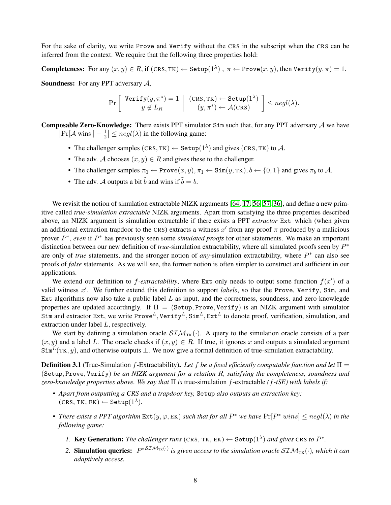For the sake of clarity, we write Prove and Verify without the CRS in the subscript when the CRS can be inferred from the context. We require that the following three properties hold:

**Completeness:** For any  $(x, y) \in R$ , if  $(CRS, TK) \leftarrow \text{Setup}(1^{\lambda})$ ,  $\pi \leftarrow \text{Prove}(x, y)$ , then  $\text{Verify}(y, \pi) = 1$ .

**Soundness:** For any PPT adversary  $A$ ,

$$
\Pr\left[\begin{array}{c} \texttt{Verify}(y,\pi^*)=1\\ y\notin L_R \end{array} \middle| \begin{array}{c} (\texttt{CRS},\texttt{TK})\leftarrow \texttt{Setup}(1^{\lambda})\\ (y,\pi^*)\leftarrow \mathcal{A}(\texttt{CRS}) \end{array} \right] \leq negl(\lambda).
$$

**Composable Zero-Knowledge:** There exists PPT simulator  $Sim$  such that, for any PPT adversary  $\mathcal A$  we have  $\left| \Pr[\mathcal{A} \text{ wins } ] - \frac{1}{2} \right|$  $\frac{1}{2}$  |  $\leq$  *negl*( $\lambda$ ) in the following game:

- The challenger samples  $(CRS, TK) \leftarrow$  Setup $(1^{\lambda})$  and gives  $(CRS, TK)$  to A.
- The adv. A chooses  $(x, y) \in R$  and gives these to the challenger.
- The challenger samples  $\pi_0 \leftarrow \text{Prove}(x, y), \pi_1 \leftarrow \text{Sim}(y, \text{TK}), b \leftarrow \{0, 1\}$  and gives  $\pi_b$  to A.
- The adv. A outputs a bit  $\tilde{b}$  and wins if  $\tilde{b} = b$ .

We revisit the notion of simulation extractable NIZK arguments [\[64,](#page-19-5) [17,](#page-16-9) [56,](#page-18-9) [57,](#page-18-10) [36\]](#page-17-3), and define a new primitive called *true-simulation extractable* NIZK arguments. Apart from satisfying the three properties described above, an NIZK argument is simulation extractable if there exists a PPT *extractor* Ext which (when given an additional extraction trapdoor to the CRS) extracts a witness  $x'$  from any proof  $\pi$  produced by a malicious prover  $P^*$ , *even* if  $P^*$  has previously seen some *simulated proofs* for other statements. We make an important distinction between our new definition of *true*-simulation extractability, where all simulated proofs seen by P ∗ are only of *true* statements, and the stronger notion of *any*-simulation extractability, where  $P^*$  can also see proofs of *false* statements. As we will see, the former notion is often simpler to construct and sufficient in our applications.

We extend our definition to  $f$ -extractability, where Ext only needs to output some function  $f(x')$  of a valid witness x'. We further extend this definition to support *labels*, so that the Prove, Verify, Sim, and Ext algorithms now also take a public label  $L$  as input, and the correctness, soundness, and zero-knowlegde properties are updated accordingly. If  $\Pi =$  (Setup, Prove, Verify) is an NIZK argument with simulator Sim and extractor Ext, we write Prove<sup>L</sup>, Verify<sup>L</sup>, Sim<sup>L</sup>, Ext<sup>L</sup> to denote proof, verification, simulation, and extraction under label L, respectively.

We start by defining a simulation oracle  $STM_{TK}(\cdot)$ . A query to the simulation oracle consists of a pair  $(x, y)$  and a label L. The oracle checks if  $(x, y) \in R$ . If true, it ignores x and outputs a simulated argument  $Sim<sup>L</sup>(TK, y)$ , and otherwise outputs  $\perp$ . We now give a formal definition of true-simulation extractability.

<span id="page-8-0"></span>**Definition 3.1** (True-Simulation f-Extractability). Let f be a fixed efficiently computable function and let  $\Pi$  = (Setup, Prove, Verify) *be an NIZK argument for a relation* R*, satisfying the completeness, soundness and zero-knowledge properties above. We say that* Π *is* true-simulation f-extractable *(*f*-tSE) with labels if:*

- *• Apart from outputting a CRS and a trapdoor key,* Setup *also outputs an extraction key:*  $(\textsc{CRS},\textsc{TK},\textsc{EK}) \leftarrow \texttt{Setup}(1^{\lambda}).$
- *There exists a PPT algorithm*  $Ext(y, \varphi, EK)$  *such that for all*  $P^*$  *we have*  $Pr[P^* \text{ wins}] \leq negl(\lambda)$  *in the following game:*
	- *1.* Key Generation: The challenger runs (CRS, TK, EK)  $\leftarrow$  Setup(1<sup> $\lambda$ </sup>) and gives CRS to  $P^*$ .
	- 2. **Simulation queries:**  $P^{*STM_{TK}(\cdot)}$  is given access to the simulation oracle  $STM_{TK}(\cdot)$ , which it can *adaptively access.*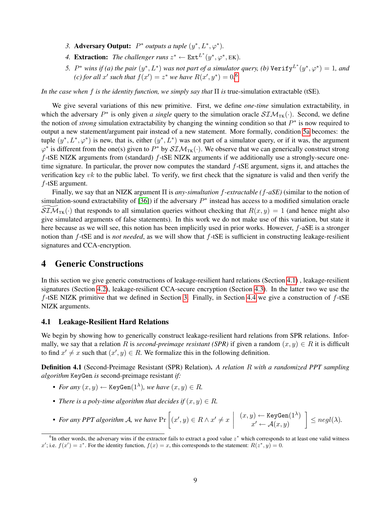- 3. **Adversary Output:**  $P^*$  *outputs a tuple*  $(y^*, L^*, \varphi^*)$ .
- 4. **Extraction:** The challenger runs  $z^* \leftarrow \text{Ext}^{L^*}(y^*, \varphi^*, \text{EK})$ .
- <span id="page-9-1"></span>5.  $P^*$  wins if (a) the pair  $(y^*, L^*)$  was not part of a simulator query, (b)  $\texttt{Verify}^{L^*}(y^*, \varphi^*) = 1$ , and *(c)* for all x' such that  $f(x') = z^*$  we have  $R(x', y^*) = 0.6$  $R(x', y^*) = 0.6$

*In the case when* f *is the identity function, we simply say that* Π *is* true-simulation extractable (tSE)*.*

We give several variations of this new primitive. First, we define *one-time* simulation extractability, in which the adversary  $P^*$  is only given *a single* query to the simulation oracle  $STM_{TK}(\cdot)$ . Second, we define the notion of *strong* simulation extractability by changing the winning condition so that  $P^*$  is now required to output a new statement/argument pair instead of a new statement. More formally, condition [5a](#page-9-1) becomes: the tuple  $(y^*, L^*, \varphi^*)$  is new, that is, either  $(y^*, L^*)$  was not part of a simulator query, or if it was, the argument  $\varphi^*$  is different from the one(s) given to  $P^*$  by  $\mathcal{SIM}_{TK}(\cdot)$ . We observe that we can generically construct strong  $f$ -tSE NIZK arguments from (standard)  $f$ -tSE NIZK arguments if we additionally use a strongly-secure onetime signature. In particular, the prover now computes the standard  $f$ -tSE argument, signs it, and attaches the verification key vk to the public label. To verify, we first check that the signature is valid and then verify the f-tSE argument.

Finally, we say that an NIZK argument Π is *any-simultation* f*-extractable (*f*-aSE)* (similar to the notion of simulation-sound extractability of [\[36\]](#page-17-3)) if the adversary  $P^*$  instead has access to a modified simulation oracle  $\widetilde{SIM}_{TK}(\cdot)$  that responds to all simulation queries without checking that  $R(x, y) = 1$  (and hence might also give simulated arguments of false statements). In this work we do not make use of this variation, but state it here because as we will see, this notion has been implicitly used in prior works. However, f-aSE is a stronger notion than f-tSE and is *not needed*, as we will show that f-tSE is sufficient in constructing leakage-resilient signatures and CCA-encryption.

## 4 Generic Constructions

In this section we give generic constructions of leakage-resilient hard relations (Section [4.1\)](#page-9-2) , leakage-resilient signatures (Section [4.2\)](#page-10-0), leakage-resilient CCA-secure encryption (Section [4.3\)](#page-10-1). In the latter two we use the  $f$ -tSE NIZK primitive that we defined in Section [3.](#page-7-0) Finally, in Section [4.4](#page-11-1) we give a construction of  $f$ -tSE NIZK arguments.

### <span id="page-9-2"></span>4.1 Leakage-Resilient Hard Relations

We begin by showing how to generically construct leakage-resilient hard relations from SPR relations. Informally, we say that a relation R is *second-preimage resistant (SPR)* if given a random  $(x, y) \in R$  it is difficult to find  $x' \neq x$  such that  $(x', y) \in R$ . We formalize this in the following definition.

Definition 4.1 (Second-Preimage Resistant (SPR) Relation). *A relation* R *with a randomized PPT sampling algorithm* KeyGen *is* second-preimage resistant *if:*

- *For any*  $(x, y) \leftarrow$  KeyGen $(1^{\lambda})$ *, we have*  $(x, y) \in R$ *.*
- *There is a poly-time algorithm that decides if*  $(x, y) \in R$ *.*
- *For any PPT algorithm A, we have*  $Pr\left[ (x', y) \in R \wedge x' \neq x \right]$  $(x,y) \leftarrow \texttt{KeyGen}(1^\lambda)$  $x' \leftarrow \mathcal{A}(x, y)$  $\Big] \leq negl(\lambda).$

<span id="page-9-0"></span> $6$ In other words, the adversary wins if the extractor fails to extract a good value  $z^*$  which corresponds to at least one valid witness x'; i.e.  $f(x') = z^*$ . For the identity function,  $f(x) = x$ , this corresponds to the statement:  $R(z^*, y) = 0$ .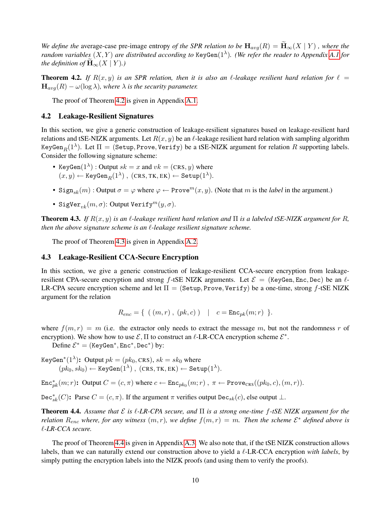*We define the* average-case pre-image entropy *of the SPR relation to be*  $H_{avg}(R) = \widetilde{H}_{\infty}(X | Y)$ , where the *random variables* (X, Y ) *are distributed according to* KeyGen(1<sup>λ</sup> )*. (We refer the reader to Appendix [A.1](#page-19-6) for the definition of*  $\mathbf{H}_{\infty}(X | Y)$ *.*)

<span id="page-10-2"></span>**Theorem 4.2.** If  $R(x, y)$  is an SPR relation, then it is also an  $\ell$ -leakage resilient hard relation for  $\ell =$  $\mathbf{H}_{avg}(R) - \omega(\log \lambda)$ , where  $\lambda$  *is the security parameter.* 

The proof of Theorem [4.2](#page-10-2) is given in Appendix [A.1.](#page-19-6)

### <span id="page-10-0"></span>4.2 Leakage-Resilient Signatures

In this section, we give a generic construction of leakage-resilient signatures based on leakage-resilient hard relations and tSE-NIZK arguments. Let  $R(x, y)$  be an  $\ell$ -leakage resilient hard relation with sampling algorithm KeyGen $_R(1^{\lambda})$ . Let  $\Pi =$  (Setup, Prove, Verify) be a tSE-NIZK argument for relation  $R$  supporting labels. Consider the following signature scheme:

- KeyGen $(1^{\lambda})$ : Output  $sk = x$  and  $vk = (CRS, y)$  where  $(x,y) \leftarrow \texttt{KeyGen}_R(1^\lambda) \ , \ (\texttt{CRS}, \texttt{TK}, \texttt{EK}) \leftarrow \texttt{Setup}(1^\lambda).$
- Sign<sub>sk</sub> $(m)$ : Output  $\sigma = \varphi$  where  $\varphi \leftarrow \text{Prove}^m(x, y)$ . (Note that m is the *label* in the argument.)
- SigVer<sub>nk</sub> $(m, \sigma)$ : Output Verify $m(y, \sigma)$ .

<span id="page-10-3"></span>**Theorem 4.3.** *If*  $R(x, y)$  *is an l-leakage resilient hard relation and*  $\Pi$  *is a labeled tSE-NIZK argument for*  $R$ , *then the above signature scheme is an*  $\ell$ *-leakage resilient signature scheme.* 

The proof of Theorem [4.3](#page-10-3) is given in Appendix [A.2.](#page-20-0)

### <span id="page-10-1"></span>4.3 Leakage-Resilient CCA-Secure Encryption

In this section, we give a generic construction of leakage-resilient CCA-secure encryption from leakageresilient CPA-secure encryption and strong f-tSE NIZK arguments. Let  $\mathcal{E} =$  (KeyGen, Enc, Dec) be an  $\ell$ -LR-CPA secure encryption scheme and let  $\Pi = (Setup, Prove, Verify)$  be a one-time, strong f-tSE NIZK argument for the relation

$$
R_{enc} = \{ (m, r), (pk, c) \} \quad | \quad c = \text{Enc}_{pk}(m; r) \}.
$$

where  $f(m, r) = m$  (i.e. the extractor only needs to extract the message m, but not the randomness r of encryption). We show how to use  $\mathcal{E}, \Pi$  to construct an  $\ell$ -LR-CCA encryption scheme  $\mathcal{E}^*$ .

Define  $\mathcal{E}^* =$  (KeyGen<sup>\*</sup>, Enc<sup>\*</sup>, Dec<sup>\*</sup>) by:

KeyGen $^*(1^{\lambda})$ : Output  $pk = (pk_0, CRS), sk = sk_0$  where  $(pk_0, sk_0) \leftarrow \texttt{KeyGen}(1^{\lambda}) \ , \ (\texttt{CRS}, \texttt{TK}, \texttt{EK}) \leftarrow \texttt{Setup}(1^{\lambda}).$ 

 $\text{Enc}_{pk}^*(m;r)$ : Output  $C = (c, \pi)$  where  $c \leftarrow \text{Enc}_{pk_0}(m;r)$ ,  $\pi \leftarrow \text{Prove}_{CRS}((pk_0, c), (m,r))$ .

Dec<sup>∗</sup><sub>sk</sub> $(C)$ : Parse  $C = (c, \pi)$ . If the argument  $\pi$  verifies output Dec<sub>sk</sub> $(c)$ , else output  $\perp$ .

<span id="page-10-4"></span>Theorem 4.4. *Assume that* E *is* `*-LR-CPA secure, and* Π *is a strong one-time* f*-tSE NIZK argument for the relation*  $R_{enc}$  *where, for any witness*  $(m, r)$ *, we define*  $f(m, r) = m$ *. Then the scheme*  $\mathcal{E}^*$  *defined above is* `*-LR-CCA secure.*

The proof of Theorem [4.4](#page-10-4) is given in Appendix [A.3.](#page-20-1) We also note that, if the tSE NIZK construction allows labels, than we can naturally extend our construction above to yield a  $\ell$ -LR-CCA encryption *with labels*, by simply putting the encryption labels into the NIZK proofs (and using them to verify the proofs).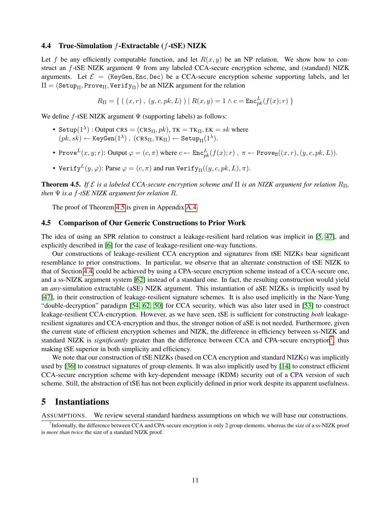### <span id="page-11-1"></span>4.4 True-Simulation f-Extractable (f-tSE) NIZK

Let f be any efficiently computable function, and let  $R(x, y)$  be an NP relation. We show how to construct an  $f$ -tSE NIZK argument  $\Psi$  from any labeled CCA-secure encryption scheme, and (standard) NIZK arguments. Let  $\mathcal{E} = (KeyGen, Enc, Dec)$  be a CCA-secure encryption scheme supporting labels, and let  $\Pi = ( \texttt{Setup}_\Pi, \texttt{Prove}_\Pi, \texttt{Verify}_\Pi)$  be an NIZK argument for the relation

$$
R_{\Pi} = \{ (x, r), (y, c, pk, L) \mid R(x, y) = 1 \land c = \text{Enc}_{pk}^{L}(f(x); r) \}
$$

We define  $f$ -tSE NIZK argument  $\Psi$  (supporting labels) as follows:

- Setup $(1^{\lambda})$  : Output CRS =  $(\text{CRS}_\Pi, pk)$ , TK = TK $_{\Pi}, \text{EK} = sk$  where  $(pk, sk) \leftarrow \texttt{KeyGen}(1^{\lambda}), (\texttt{CRS}_\Pi, \texttt{TK}_\Pi) \leftarrow \texttt{Setup}_\Pi(1^{\lambda}).$
- Prove $L(x, y; r)$ : Output  $\varphi = (c, \pi)$  where  $c \leftarrow \text{Enc}_{pk}^L(f(x); r)$ ,  $\pi \leftarrow \text{Prove}_{\Pi}((x, r), (y, c, pk, L))$ .
- Verify $L(y, \varphi)$ : Parse  $\varphi = (c, \pi)$  and run Verify $\mathbf{H}((y, c, pk, L), \pi)$ .

<span id="page-11-2"></span>Theorem 4.5. *If* E *is a labeled CCA-secure encryption scheme and* Π *is an NIZK argument for relation* RΠ*, then*  $\Psi$  *is a f-tSE NIZK argument for relation R.* 

The proof of Theorem [4.5](#page-11-2) is given in Appendix [A.4.](#page-21-0)

### 4.5 Comparison of Our Generic Constructions to Prior Work

The idea of using an SPR relation to construct a leakage-resilient hard relation was implicit in [\[5,](#page-15-1) [47\]](#page-18-1), and explicitly described in [\[6\]](#page-15-3) for the case of leakage-resilient one-way functions.

Our constructions of leakage-resilient CCA encryption and signatures from tSE NIZKs bear significant resemblance to prior constructions. In particular, we observe that an alternate construction of tSE NIZK to that of Section [4.4,](#page-11-1) could be achieved by using a CPA-secure encryption scheme instead of a CCA-secure one, and a ss-NIZK argument system [\[62\]](#page-19-1) instead of a standard one. In fact, the resulting construction would yield an *any*-simulation extractable (aSE) NIZK argument. This instantiation of aSE NIZKs is implicitly used by [\[47\]](#page-18-1), in their construction of leakage-resilient signature schemes. It is also used implicitly in the Naor-Yung "double-decryption" paradigm [\[54,](#page-18-4) [62,](#page-19-1) [50\]](#page-18-11) for CCA security, which was also later used in [\[53\]](#page-18-0) to construct leakage-resilient CCA-encryption. However, as we have seen, tSE is sufficient for constructing *both* leakageresilient signatures and CCA-encryption and thus, the stronger notion of aSE is not needed. Furthermore, given the current state of efficient encryption schemes and NIZK, the difference in efficiency between ss-NIZK and standard NIZK is *significantly* greater than the difference between CCA and CPA-secure encryption<sup>[7](#page-11-3)</sup>, thus making tSE superior in both simplicity and efficiency.

We note that our construction of tSE NIZKs (based on CCA encryption and standard NIZKs) was implicitly used by [\[36\]](#page-17-3) to construct signatures of group elements. It was also implicitly used by [\[14\]](#page-16-2) to construct efficient CCA-secure encryption scheme with key-dependent message (KDM) security out of a CPA version of such scheme. Still, the abstraction of tSE has not been explicitly defined in prior work despite its apparent usefulness.

### <span id="page-11-0"></span>5 Instantiations

ASSUMPTIONS. We review several standard hardness assumptions on which we will base our constructions.

<span id="page-11-3"></span><sup>&</sup>lt;sup>7</sup> Informally, the difference between CCA and CPA-secure encryption is only 2 group elements, whereas the size of a ss-NIZK proof is *more than twice* the size of a standard NIZK proof.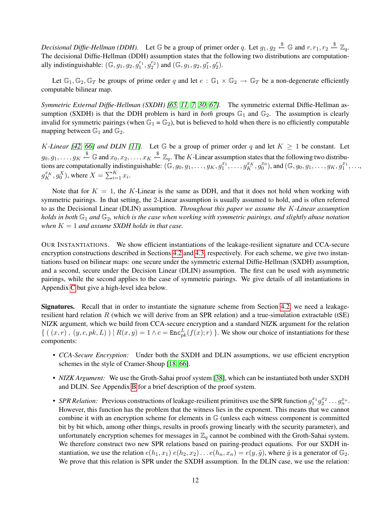Decisional Diffie-Hellman (DDH). Let  $\mathbb G$  be a group of primer order q. Let  $g_1, g_2 \stackrel{\$}{\leftarrow} \mathbb G$  and  $r, r_1, r_2 \stackrel{\$}{\leftarrow} \mathbb Z_q$ . The decisional Diffie-Hellman (DDH) assumption states that the following two distributions are computationally indistinguishable:  $(\mathbb{G}, g_1, g_2, g_1^{r_1}, g_2^{r_2})$  and  $(\mathbb{G}, g_1, g_2, g_1^{r}, g_2^{r})$ .

Let  $\mathbb{G}_1, \mathbb{G}_2, \mathbb{G}_T$  be groups of prime order q and let  $e : \mathbb{G}_1 \times \mathbb{G}_2 \to \mathbb{G}_T$  be a non-degenerate efficiently computable bilinear map.

*Symmetric External Diffie-Hellman (SXDH) [\[65,](#page-19-7) [11,](#page-16-10) [7,](#page-15-4) [30,](#page-17-13) [67\]](#page-19-8).* The symmetric external Diffie-Hellman assumption (SXDH) is that the DDH problem is hard in *both* groups  $\mathbb{G}_1$  and  $\mathbb{G}_2$ . The assumption is clearly invalid for symmetric pairings (when  $\mathbb{G}_1 = \mathbb{G}_2$ ), but is believed to hold when there is no efficiently computable mapping between  $\mathbb{G}_1$  and  $\mathbb{G}_2$ .

*K*-Linear [\[42,](#page-18-12) [66\]](#page-19-9) and DLIN [\[11\]](#page-16-10). Let G be a group of primer order q and let  $K \geq 1$  be constant. Let  $g_0, g_1, \ldots, g_K \stackrel{\$}{\leftarrow} \mathbb{G}$  and  $x_0, x_2, \ldots, x_K \stackrel{\$}{\leftarrow} \mathbb{Z}_q$ . The K-Linear assumption states that the following two distributions are computationally indistinguishable:  $(\mathbb{G}, g_0, g_1, \ldots, g_K, g_1^{x_1}, \ldots, g_K^{x_K}, g_0^{x_0})$ , and  $(\mathbb{G}, g_0, g_1, \ldots, g_K, g_1^{x_1}, \ldots, g_K, g_0^{x_1}, g_0^{x_1}, \ldots, g_K, g_0^{x_1}, \ldots, g_K, g_0^{x_1}, \ldots, g_K, g_0^{x_1}, \ldots, g_K, g_0^{x_1}, \ldots, g_K, g$  $g_K^{x_K}, g_0^X$ ), where  $X = \sum_{i=1}^K x_i$ .

Note that for  $K = 1$ , the K-Linear is the same as DDH, and that it does not hold when working with symmetric pairings. In that setting, the 2-Linear assumption is usually assumed to hold, and is often referred to as the Decisional Linear (DLIN) assumption. *Throughout this paper we assume the* K*-Linear assumption holds in both* G<sup>1</sup> *and* G2*, which is the case when working with symmetric pairings, and slightly abuse notation when*  $K = 1$  *and assume SXDH holds in that case.* 

OUR INSTANTIATIONS. We show efficient instantiations of the leakage-resilient signature and CCA-secure encryption constructions described in Sections [4.2](#page-10-0) and [4.3,](#page-10-1) respectively. For each scheme, we give two instantiations based on bilinear maps: one secure under the symmetric external Diffie-Hellman (SXDH) assumption, and a second, secure under the Decision Linear (DLIN) assumption. The first can be used with asymmetric pairings, while the second applies to the case of symmetric pairings. We give details of all instantiations in Appendix [C](#page-27-0) but give a high-level idea below.

Signatures. Recall that in order to instantiate the signature scheme from Section [4.2,](#page-10-0) we need a leakageresilient hard relation R (which we will derive from an SPR relation) and a true-simulation extractable (tSE) NIZK argument, which we build from CCA-secure encryption and a standard NIZK argument for the relation  $\{((x, r), (y, c, pk, L)) | R(x, y) = 1 \land c = \text{Enc}_{pk}^{L}(f(x); r) \}$ . We show our choice of instantiations for these components:

- *CCA-Secure Encryption:* Under both the SXDH and DLIN assumptions, we use efficient encryption schemes in the style of Cramer-Shoup [\[18,](#page-16-11) [66\]](#page-19-9).
- *NIZK Argument:* We use the Groth-Sahai proof system [\[38\]](#page-17-2), which can be instantiated both under SXDH and DLIN. See Appendix [B](#page-25-0) for a brief description of the proof system.
- *SPR Relation:* Previous constructions of leakage-resilient primitives use the SPR function  $g_1^{x_1}g_2^{x_2} \ldots g_n^{x_n}$ . However, this function has the problem that the witness lies in the exponent. This means that we cannot combine it with an encryption scheme for elements in G (unless each witness component is committed bit by bit which, among other things, results in proofs growing linearly with the security parameter), and unfortunately encryption schemes for messages in  $\mathbb{Z}_q$  cannot be combined with the Groth-Sahai system. We therefore construct two new SPR relations based on pairing-product equations. For our SXDH instantiation, we use the relation  $e(h_1, x_1) e(h_2, x_2) \dots e(h_n, x_n) = e(y, \tilde{g})$ , where  $\tilde{g}$  is a generator of  $\mathbb{G}_2$ . We prove that this relation is SPR under the SXDH assumption. In the DLIN case, we use the relation: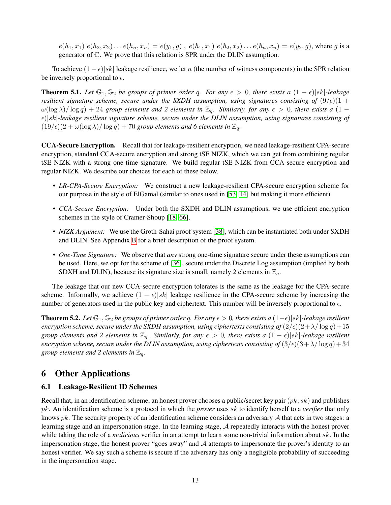$e(h_1, x_1) e(h_2, x_2) \dots e(h_n, x_n) = e(y_1, g)$ ,  $e(\hbar_1, x_1) e(\hbar_2, x_2) \dots e(\hbar_n, x_n) = e(y_2, g)$ , where g is a generator of G. We prove that this relation is SPR under the DLIN assumption.

To achieve  $(1 - \epsilon) |sk|$  leakage resilience, we let n (the number of witness components) in the SPR relation be inversely proportional to  $\epsilon$ .

<span id="page-13-1"></span>**Theorem 5.1.** Let  $\mathbb{G}_1$ ,  $\mathbb{G}_2$  be groups of primer order q. For any  $\epsilon > 0$ , there exists a  $(1 - \epsilon)|sk|$ -leakage *resilient signature scheme, secure under the SXDH assumption, using signatures consisting of*  $(9/\epsilon)(1 +$  $\omega(\log \lambda)/\log q$ ) + 24 *group elements and 2 elements in*  $\mathbb{Z}_q$ . Similarly, for any  $\epsilon > 0$ , there exists a (1 – )|sk|*-leakage resilient signature scheme, secure under the DLIN assumption, using signatures consisting of*  $(19/\epsilon)(2 + \omega(\log \lambda)/\log q) + 70$  *group elements and 6 elements in*  $\mathbb{Z}_q$ *.* 

CCA-Secure Encryption. Recall that for leakage-resilient encryption, we need leakage-resilient CPA-secure encryption, standard CCA-secure encryption and strong tSE NIZK, which we can get from combining regular tSE NIZK with a strong one-time signature. We build regular tSE NIZK from CCA-secure encryption and regular NIZK. We describe our choices for each of these below.

- *LR-CPA-Secure Encryption:* We construct a new leakage-resilient CPA-secure encryption scheme for our purpose in the style of ElGamal (similar to ones used in [\[53,](#page-18-0) [14\]](#page-16-2) but making it more efficient).
- *CCA-Secure Encryption:* Under both the SXDH and DLIN assumptions, we use efficient encryption schemes in the style of Cramer-Shoup [\[18,](#page-16-11) [66\]](#page-19-9).
- *NIZK Argument:* We use the Groth-Sahai proof system [\[38\]](#page-17-2), which can be instantiated both under SXDH and DLIN. See Appendix [B](#page-25-0) for a brief description of the proof system.
- *One-Time Signature:* We observe that *any* strong one-time signature secure under these assumptions can be used. Here, we opt for the scheme of [\[36\]](#page-17-3), secure under the Discrete Log assumption (implied by both SDXH and DLIN), because its signature size is small, namely 2 elements in  $\mathbb{Z}_q$ .

The leakage that our new CCA-secure encryption tolerates is the same as the leakage for the CPA-secure scheme. Informally, we achieve  $(1 - \epsilon)|sk|$  leakage resilience in the CPA-secure scheme by increasing the number of generators used in the public key and ciphertext. This number will be inversely proportional to  $\epsilon$ .

<span id="page-13-2"></span>**Theorem 5.2.** Let  $\mathbb{G}_1$ ,  $\mathbb{G}_2$  be groups of primer order q. For any  $\epsilon > 0$ , there exists a  $(1-\epsilon)|sk|$ -leakage resilient *encryption scheme, secure under the SXDH assumption, using ciphertexts consisting of*  $\left(2/\epsilon\right)\left(2+\lambda/\log q\right)+15$ *group elements and 2 elements in*  $\mathbb{Z}_q$ . Similarly, for any  $\epsilon > 0$ , there exists a  $(1 - \epsilon)|sk|$ -leakage resilient *encryption scheme, secure under the DLIN assumption, using ciphertexts consisting of*  $(3/\epsilon)(3+\lambda/\log q) + 34$ *group elements and 2 elements in*  $\mathbb{Z}_q$ *.* 

## 6 Other Applications

### <span id="page-13-0"></span>6.1 Leakage-Resilient ID Schemes

Recall that, in an identification scheme, an honest prover chooses a public/secret key pair  $(pk, sk)$  and publishes pk. An identification scheme is a protocol in which the *prover* uses sk to identify herself to a *verifier* that only knows  $pk$ . The security property of an identification scheme considers an adversary  $A$  that acts in two stages: a learning stage and an impersonation stage. In the learning stage, A repeatedly interacts with the honest prover while taking the role of a *malicious* verifier in an attempt to learn some non-trivial information about sk. In the impersonation stage, the honest prover "goes away" and  $A$  attempts to impersonate the prover's identity to an honest verifier. We say such a scheme is secure if the adversary has only a negligible probability of succeeding in the impersonation stage.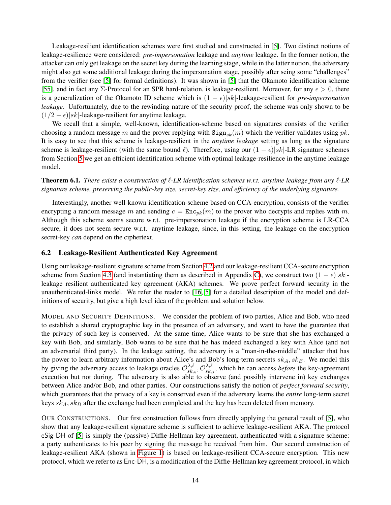Leakage-resilient identification schemes were first studied and constructed in [\[5\]](#page-15-1). Two distinct notions of leakage-resilience were considered: *pre-impersonation* leakage and *anytime* leakage. In the former notion, the attacker can only get leakage on the secret key during the learning stage, while in the latter notion, the adversary might also get some additional leakage during the impersonation stage, possibly after seing some "challenges" from the verifier (see [\[5\]](#page-15-1) for formal definitions). It was shown in [\[5\]](#page-15-1) that the Okamoto identification scheme [\[55\]](#page-18-13), and in fact any  $\Sigma$ -Protocol for an SPR hard-relation, is leakage-resilient. Moreover, for any  $\epsilon > 0$ , there is a generalization of the Okamoto ID scheme which is  $(1 - \epsilon)|sk|$ -leakage-resilient for *pre-impersonation leakage*. Unfortunately, due to the rewinding nature of the security proof, the scheme was only shown to be  $(1/2 - \epsilon)$ |sk|-leakage-resilient for anytime leakage.

We recall that a simple, well-known, identification-scheme based on signatures consists of the verifier choosing a random message m and the prover replying with  $\text{Sign}_{sk}(m)$  which the verifier validates using pk. It is easy to see that this scheme is leakage-resilient in the *anytime leakage* setting as long as the signature scheme is leakage-resilient (with the same bound  $\ell$ ). Therefore, using our  $(1 - \epsilon)|sk|$ -LR signature schemes from Section [5](#page-11-0) we get an efficient identification scheme with optimal leakage-resilience in the anytime leakage model.

**Theorem 6.1.** *There exists a construction of*  $\ell$ *-LR identification schemes w.r.t. anytime leakage from any*  $\ell$ -LR *signature scheme, preserving the public-key size, secret-key size, and efficiency of the underlying signature.*

Interestingly, another well-known identification-scheme based on CCA-encryption, consists of the verifier encrypting a random message m and sending  $c = \text{Enc}_{pk}(m)$  to the prover who decrypts and replies with m. Although this scheme seems secure w.r.t. pre-impersonation leakage if the encryption scheme is LR-CCA secure, it does not seem secure w.r.t. anytime leakage, since, in this setting, the leakage on the encryption secret-key *can* depend on the ciphertext.

### <span id="page-14-0"></span>6.2 Leakage-Resilient Authenticated Key Agreement

Using our leakage-resilient signature scheme from Section [4.2](#page-10-0) and our leakage-resilient CCA-secure encryption scheme from Section [4.3](#page-10-1) (and instantiating them as described in Appendix [C\)](#page-27-0), we construct two  $(1 - \epsilon)|sk|$ leakage resilient authenticated key agreement (AKA) schemes. We prove perfect forward security in the unauthenticated-links model. We refer the reader to [\[16,](#page-16-12) [5\]](#page-15-1) for a detailed description of the model and definitions of security, but give a high level idea of the problem and solution below.

MODEL AND SECURITY DEFINITIONS. We consider the problem of two parties, Alice and Bob, who need to establish a shared cryptographic key in the presence of an adversary, and want to have the guarantee that the privacy of such key is conserved. At the same time, Alice wants to be sure that she has exchanged a key with Bob, and similarly, Bob wants to be sure that he has indeed exchanged a key with Alice (and not an adversarial third party). In the leakage setting, the adversary is a "man-in-the-middle" attacker that has the power to learn arbitrary information about Alice's and Bob's long-term secrets  $sk_A, sk_B$ . We model this by giving the adversary access to leakage oracles  $\mathcal{O}_{sk}^{\lambda,\ell}$  $\lambda, \ell \atop sk_A, \mathcal{O}^{\lambda, \ell}_{sk_B}$  $s_{kB}^{\lambda,\ell}$ , which he can access *before* the key-agreement execution but not during. The adversary is also able to observe (and possibly intervene in) key exchanges between Alice and/or Bob, and other parties. Our constructions satisfy the notion of *perfect forward security*, which guarantees that the privacy of a key is conserved even if the adversary learns the *entire* long-term secret keys  $sk_A, sk_B$  after the exchange had been completed and the key has been deleted from memory.

OUR CONSTRUCTIONS. Our first construction follows from directly applying the general result of [\[5\]](#page-15-1), who show that any leakage-resilient signature scheme is sufficient to achieve leakage-resilient AKA. The protocol eSig-DH of [\[5\]](#page-15-1) is simply the (passive) Diffie-Hellman key agreement, authenticated with a signature scheme: a party authenticates to his peer by signing the message he received from him. Our second construction of leakage-resilient AKA (shown in [Figure 1\)](#page-23-0) is based on leakage-resilient CCA-secure encryption. This new protocol, which we refer to as Enc-DH, is a modification of the Diffie-Hellman key agreement protocol, in which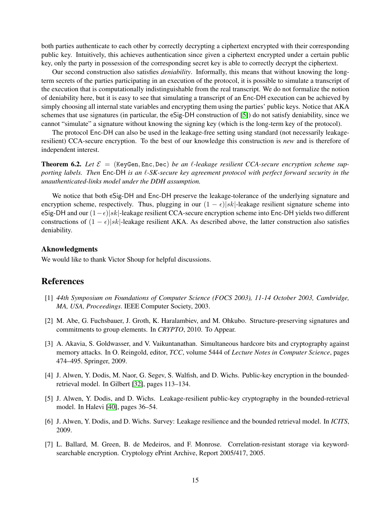both parties authenticate to each other by correctly decrypting a ciphertext encrypted with their corresponding public key. Intuitively, this achieves authentication since given a ciphertext encrypted under a certain public key, only the party in possession of the corresponding secret key is able to correctly decrypt the ciphertext.

Our second construction also satisfies *deniability*. Informally, this means that without knowing the longterm secrets of the parties participating in an execution of the protocol, it is possible to simulate a transcript of the execution that is computationally indistinguishable from the real transcript. We do not formalize the notion of deniability here, but it is easy to see that simulating a transcript of an Enc-DH execution can be achieved by simply choosing all internal state variables and encrypting them using the parties' public keys. Notice that AKA schemes that use signatures (in particular, the eSig-DH construction of [\[5\]](#page-15-1)) do not satisfy deniability, since we cannot "simulate" a signature without knowing the signing key (which is the long-term key of the protocol).

The protocol Enc-DH can also be used in the leakage-free setting using standard (not necessarily leakageresilient) CCA-secure encryption. To the best of our knowledge this construction is *new* and is therefore of independent interest.

<span id="page-15-6"></span>**Theorem 6.2.** Let  $\mathcal{E} =$  (KeyGen, Enc., Dec) *be an l*-leakage resilient CCA-secure encryption scheme sup*porting labels. Then* Enc-DH *is an*  $\ell$ *-SK-secure key agreement protocol with perfect forward security in the unauthenticated-links model under the DDH assumption.*

We notice that both eSig-DH and Enc-DH preserve the leakage-tolerance of the underlying signature and encryption scheme, respectively. Thus, plugging in our  $(1 - \epsilon)|sk|$ -leakage resilient signature scheme into eSig-DH and our  $(1-\epsilon)|sk|$ -leakage resilient CCA-secure encryption scheme into Enc-DH yields two different constructions of  $(1 - \epsilon)|sk|$ -leakage resilient AKA. As described above, the latter construction also satisfies deniability.

### Aknowledgments

We would like to thank Victor Shoup for helpful discussions.

## References

- <span id="page-15-5"></span>[1] *44th Symposium on Foundations of Computer Science (FOCS 2003), 11-14 October 2003, Cambridge, MA, USA, Proceedings*. IEEE Computer Society, 2003.
- <span id="page-15-7"></span>[2] M. Abe, G. Fuchsbauer, J. Groth, K. Haralambiev, and M. Ohkubo. Structure-preserving signatures and commitments to group elements. In *CRYPTO*, 2010. To Appear.
- <span id="page-15-0"></span>[3] A. Akavia, S. Goldwasser, and V. Vaikuntanathan. Simultaneous hardcore bits and cryptography against memory attacks. In O. Reingold, editor, *TCC*, volume 5444 of *Lecture Notes in Computer Science*, pages 474–495. Springer, 2009.
- <span id="page-15-2"></span>[4] J. Alwen, Y. Dodis, M. Naor, G. Segev, S. Walfish, and D. Wichs. Public-key encryption in the boundedretrieval model. In Gilbert [\[32\]](#page-17-14), pages 113–134.
- <span id="page-15-1"></span>[5] J. Alwen, Y. Dodis, and D. Wichs. Leakage-resilient public-key cryptography in the bounded-retrieval model. In Halevi [\[40\]](#page-17-15), pages 36–54.
- <span id="page-15-3"></span>[6] J. Alwen, Y. Dodis, and D. Wichs. Survey: Leakage resilience and the bounded retrieval model. In *ICITS*, 2009.
- <span id="page-15-4"></span>[7] L. Ballard, M. Green, B. de Medeiros, and F. Monrose. Correlation-resistant storage via keywordsearchable encryption. Cryptology ePrint Archive, Report 2005/417, 2005.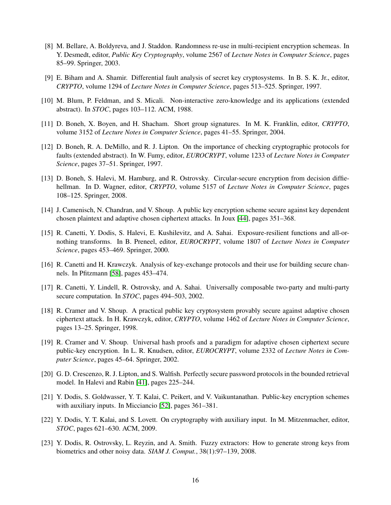- <span id="page-16-14"></span>[8] M. Bellare, A. Boldyreva, and J. Staddon. Randomness re-use in multi-recipient encryption schemeas. In Y. Desmedt, editor, *Public Key Cryptography*, volume 2567 of *Lecture Notes in Computer Science*, pages 85–99. Springer, 2003.
- <span id="page-16-1"></span>[9] E. Biham and A. Shamir. Differential fault analysis of secret key cryptosystems. In B. S. K. Jr., editor, *CRYPTO*, volume 1294 of *Lecture Notes in Computer Science*, pages 513–525. Springer, 1997.
- <span id="page-16-8"></span>[10] M. Blum, P. Feldman, and S. Micali. Non-interactive zero-knowledge and its applications (extended abstract). In *STOC*, pages 103–112. ACM, 1988.
- <span id="page-16-10"></span>[11] D. Boneh, X. Boyen, and H. Shacham. Short group signatures. In M. K. Franklin, editor, *CRYPTO*, volume 3152 of *Lecture Notes in Computer Science*, pages 41–55. Springer, 2004.
- <span id="page-16-0"></span>[12] D. Boneh, R. A. DeMillo, and R. J. Lipton. On the importance of checking cryptographic protocols for faults (extended abstract). In W. Fumy, editor, *EUROCRYPT*, volume 1233 of *Lecture Notes in Computer Science*, pages 37–51. Springer, 1997.
- <span id="page-16-15"></span>[13] D. Boneh, S. Halevi, M. Hamburg, and R. Ostrovsky. Circular-secure encryption from decision diffiehellman. In D. Wagner, editor, *CRYPTO*, volume 5157 of *Lecture Notes in Computer Science*, pages 108–125. Springer, 2008.
- <span id="page-16-2"></span>[14] J. Camenisch, N. Chandran, and V. Shoup. A public key encryption scheme secure against key dependent chosen plaintext and adaptive chosen ciphertext attacks. In Joux [\[44\]](#page-18-14), pages 351–368.
- <span id="page-16-4"></span>[15] R. Canetti, Y. Dodis, S. Halevi, E. Kushilevitz, and A. Sahai. Exposure-resilient functions and all-ornothing transforms. In B. Preneel, editor, *EUROCRYPT*, volume 1807 of *Lecture Notes in Computer Science*, pages 453–469. Springer, 2000.
- <span id="page-16-12"></span>[16] R. Canetti and H. Krawczyk. Analysis of key-exchange protocols and their use for building secure channels. In Pfitzmann [\[58\]](#page-19-10), pages 453–474.
- <span id="page-16-9"></span>[17] R. Canetti, Y. Lindell, R. Ostrovsky, and A. Sahai. Universally composable two-party and multi-party secure computation. In *STOC*, pages 494–503, 2002.
- <span id="page-16-11"></span>[18] R. Cramer and V. Shoup. A practical public key cryptosystem provably secure against adaptive chosen ciphertext attack. In H. Krawczyk, editor, *CRYPTO*, volume 1462 of *Lecture Notes in Computer Science*, pages 13–25. Springer, 1998.
- <span id="page-16-3"></span>[19] R. Cramer and V. Shoup. Universal hash proofs and a paradigm for adaptive chosen ciphertext secure public-key encryption. In L. R. Knudsen, editor, *EUROCRYPT*, volume 2332 of *Lecture Notes in Computer Science*, pages 45–64. Springer, 2002.
- <span id="page-16-5"></span>[20] G. D. Crescenzo, R. J. Lipton, and S. Walfish. Perfectly secure password protocols in the bounded retrieval model. In Halevi and Rabin [\[41\]](#page-18-15), pages 225–244.
- <span id="page-16-7"></span>[21] Y. Dodis, S. Goldwasser, Y. T. Kalai, C. Peikert, and V. Vaikuntanathan. Public-key encryption schemes with auxiliary inputs. In Micciancio [\[52\]](#page-18-16), pages 361–381.
- <span id="page-16-6"></span>[22] Y. Dodis, Y. T. Kalai, and S. Lovett. On cryptography with auxiliary input. In M. Mitzenmacher, editor, *STOC*, pages 621–630. ACM, 2009.
- <span id="page-16-13"></span>[23] Y. Dodis, R. Ostrovsky, L. Reyzin, and A. Smith. Fuzzy extractors: How to generate strong keys from biometrics and other noisy data. *SIAM J. Comput.*, 38(1):97–139, 2008.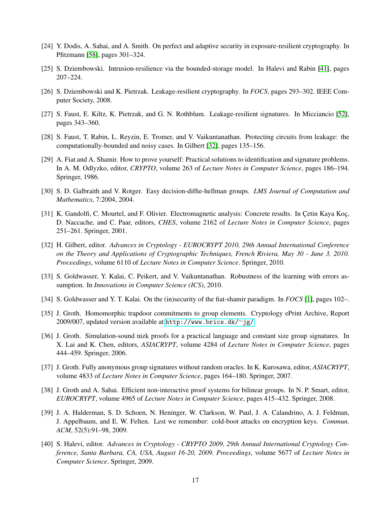- <span id="page-17-7"></span>[24] Y. Dodis, A. Sahai, and A. Smith. On perfect and adaptive security in exposure-resilient cryptography. In Pfitzmann [\[58\]](#page-19-10), pages 301–324.
- <span id="page-17-11"></span>[25] S. Dziembowski. Intrusion-resilience via the bounded-storage model. In Halevi and Rabin [\[41\]](#page-18-15), pages 207–224.
- <span id="page-17-9"></span>[26] S. Dziembowski and K. Pietrzak. Leakage-resilient cryptography. In *FOCS*, pages 293–302. IEEE Computer Society, 2008.
- <span id="page-17-10"></span>[27] S. Faust, E. Kiltz, K. Pietrzak, and G. N. Rothblum. Leakage-resilient signatures. In Micciancio [\[52\]](#page-18-16), pages 343–360.
- <span id="page-17-8"></span>[28] S. Faust, T. Rabin, L. Reyzin, E. Tromer, and V. Vaikuntanathan. Protecting circuits from leakage: the computationally-bounded and noisy cases. In Gilbert [\[32\]](#page-17-14), pages 135–156.
- <span id="page-17-5"></span>[29] A. Fiat and A. Shamir. How to prove yourself: Practical solutions to identification and signature problems. In A. M. Odlyzko, editor, *CRYPTO*, volume 263 of *Lecture Notes in Computer Science*, pages 186–194. Springer, 1986.
- <span id="page-17-13"></span>[30] S. D. Galbraith and V. Rotger. Easy decision-diffie-hellman groups. *LMS Journal of Computation and Mathematics*, 7:2004, 2004.
- <span id="page-17-0"></span>[31] K. Gandolfi, C. Mourtel, and F. Olivier. Electromagnetic analysis: Concrete results. In Cetin Kaya Koç, D. Naccache, and C. Paar, editors, *CHES*, volume 2162 of *Lecture Notes in Computer Science*, pages 251–261. Springer, 2001.
- <span id="page-17-14"></span>[32] H. Gilbert, editor. *Advances in Cryptology - EUROCRYPT 2010, 29th Annual International Conference on the Theory and Applications of Cryptographic Techniques, French Riviera, May 30 - June 3, 2010. Proceedings*, volume 6110 of *Lecture Notes in Computer Science*. Springer, 2010.
- <span id="page-17-12"></span>[33] S. Goldwasser, Y. Kalai, C. Peikert, and V. Vaikuntanathan. Robustness of the learning with errors assumption. In *Innovations in Computer Science (ICS)*, 2010.
- <span id="page-17-6"></span>[34] S. Goldwasser and Y. T. Kalai. On the (in)security of the fiat-shamir paradigm. In *FOCS* [\[1\]](#page-15-5), pages 102–.
- <span id="page-17-16"></span>[35] J. Groth. Homomorphic trapdoor commitments to group elements. Cryptology ePrint Archive, Report 2009/007, updated version available at [http://www.brics.dk/](http://www.brics.dk/~jg/)∼jg/.
- <span id="page-17-3"></span>[36] J. Groth. Simulation-sound nizk proofs for a practical language and constant size group signatures. In X. Lai and K. Chen, editors, *ASIACRYPT*, volume 4284 of *Lecture Notes in Computer Science*, pages 444–459. Springer, 2006.
- <span id="page-17-4"></span>[37] J. Groth. Fully anonymous group signatures without random oracles. In K. Kurosawa, editor, *ASIACRYPT*, volume 4833 of *Lecture Notes in Computer Science*, pages 164–180. Springer, 2007.
- <span id="page-17-2"></span>[38] J. Groth and A. Sahai. Efficient non-interactive proof systems for bilinear groups. In N. P. Smart, editor, *EUROCRYPT*, volume 4965 of *Lecture Notes in Computer Science*, pages 415–432. Springer, 2008.
- <span id="page-17-1"></span>[39] J. A. Halderman, S. D. Schoen, N. Heninger, W. Clarkson, W. Paul, J. A. Calandrino, A. J. Feldman, J. Appelbaum, and E. W. Felten. Lest we remember: cold-boot attacks on encryption keys. *Commun. ACM*, 52(5):91–98, 2009.
- <span id="page-17-15"></span>[40] S. Halevi, editor. *Advances in Cryptology - CRYPTO 2009, 29th Annual International Cryptology Conference, Santa Barbara, CA, USA, August 16-20, 2009. Proceedings*, volume 5677 of *Lecture Notes in Computer Science*. Springer, 2009.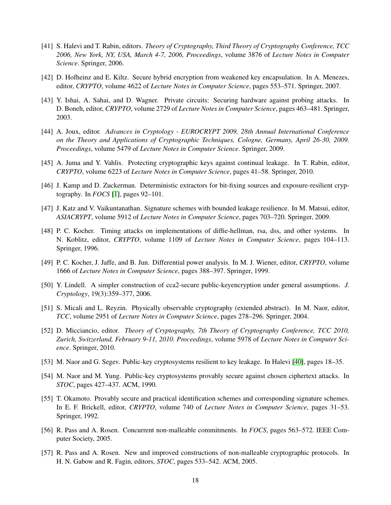- <span id="page-18-15"></span>[41] S. Halevi and T. Rabin, editors. *Theory of Cryptography, Third Theory of Cryptography Conference, TCC 2006, New York, NY, USA, March 4-7, 2006, Proceedings*, volume 3876 of *Lecture Notes in Computer Science*. Springer, 2006.
- <span id="page-18-12"></span>[42] D. Hofheinz and E. Kiltz. Secure hybrid encryption from weakened key encapsulation. In A. Menezes, editor, *CRYPTO*, volume 4622 of *Lecture Notes in Computer Science*, pages 553–571. Springer, 2007.
- <span id="page-18-6"></span>[43] Y. Ishai, A. Sahai, and D. Wagner. Private circuits: Securing hardware against probing attacks. In D. Boneh, editor, *CRYPTO*, volume 2729 of *Lecture Notes in Computer Science*, pages 463–481. Springer, 2003.
- <span id="page-18-14"></span>[44] A. Joux, editor. *Advances in Cryptology - EUROCRYPT 2009, 28th Annual International Conference on the Theory and Applications of Cryptographic Techniques, Cologne, Germany, April 26-30, 2009. Proceedings*, volume 5479 of *Lecture Notes in Computer Science*. Springer, 2009.
- <span id="page-18-8"></span>[45] A. Juma and Y. Vahlis. Protecting cryptographic keys against continual leakage. In T. Rabin, editor, *CRYPTO*, volume 6223 of *Lecture Notes in Computer Science*, pages 41–58. Springer, 2010.
- <span id="page-18-5"></span>[46] J. Kamp and D. Zuckerman. Deterministic extractors for bit-fixing sources and exposure-resilient cryptography. In *FOCS* [\[1\]](#page-15-5), pages 92–101.
- <span id="page-18-1"></span>[47] J. Katz and V. Vaikuntanathan. Signature schemes with bounded leakage resilience. In M. Matsui, editor, *ASIACRYPT*, volume 5912 of *Lecture Notes in Computer Science*, pages 703–720. Springer, 2009.
- <span id="page-18-2"></span>[48] P. C. Kocher. Timing attacks on implementations of diffie-hellman, rsa, dss, and other systems. In N. Koblitz, editor, *CRYPTO*, volume 1109 of *Lecture Notes in Computer Science*, pages 104–113. Springer, 1996.
- <span id="page-18-3"></span>[49] P. C. Kocher, J. Jaffe, and B. Jun. Differential power analysis. In M. J. Wiener, editor, *CRYPTO*, volume 1666 of *Lecture Notes in Computer Science*, pages 388–397. Springer, 1999.
- <span id="page-18-11"></span>[50] Y. Lindell. A simpler construction of cca2-secure public-keyencryption under general assumptions. *J. Cryptology*, 19(3):359–377, 2006.
- <span id="page-18-7"></span>[51] S. Micali and L. Reyzin. Physically observable cryptography (extended abstract). In M. Naor, editor, *TCC*, volume 2951 of *Lecture Notes in Computer Science*, pages 278–296. Springer, 2004.
- <span id="page-18-16"></span>[52] D. Micciancio, editor. *Theory of Cryptography, 7th Theory of Cryptography Conference, TCC 2010, Zurich, Switzerland, February 9-11, 2010. Proceedings*, volume 5978 of *Lecture Notes in Computer Science*. Springer, 2010.
- <span id="page-18-0"></span>[53] M. Naor and G. Segev. Public-key cryptosystems resilient to key leakage. In Halevi [\[40\]](#page-17-15), pages 18–35.
- <span id="page-18-4"></span>[54] M. Naor and M. Yung. Public-key cryptosystems provably secure against chosen ciphertext attacks. In *STOC*, pages 427–437. ACM, 1990.
- <span id="page-18-13"></span>[55] T. Okamoto. Provably secure and practical identification schemes and corresponding signature schemes. In E. F. Brickell, editor, *CRYPTO*, volume 740 of *Lecture Notes in Computer Science*, pages 31–53. Springer, 1992.
- <span id="page-18-9"></span>[56] R. Pass and A. Rosen. Concurrent non-malleable commitments. In *FOCS*, pages 563–572. IEEE Computer Society, 2005.
- <span id="page-18-10"></span>[57] R. Pass and A. Rosen. New and improved constructions of non-malleable cryptographic protocols. In H. N. Gabow and R. Fagin, editors, *STOC*, pages 533–542. ACM, 2005.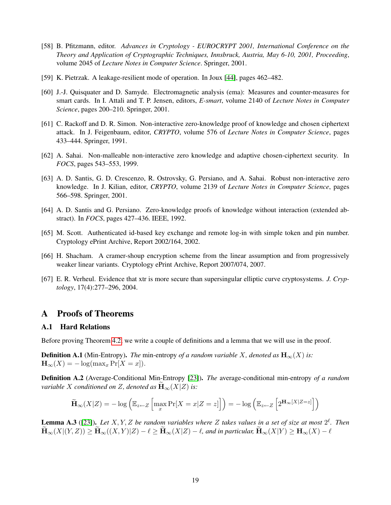- <span id="page-19-10"></span>[58] B. Pfitzmann, editor. *Advances in Cryptology - EUROCRYPT 2001, International Conference on the Theory and Application of Cryptographic Techniques, Innsbruck, Austria, May 6-10, 2001, Proceeding*, volume 2045 of *Lecture Notes in Computer Science*. Springer, 2001.
- <span id="page-19-3"></span>[59] K. Pietrzak. A leakage-resilient mode of operation. In Joux [\[44\]](#page-18-14), pages 462–482.
- <span id="page-19-0"></span>[60] J.-J. Quisquater and D. Samyde. Electromagnetic analysis (ema): Measures and counter-measures for smart cards. In I. Attali and T. P. Jensen, editors, *E-smart*, volume 2140 of *Lecture Notes in Computer Science*, pages 200–210. Springer, 2001.
- <span id="page-19-2"></span>[61] C. Rackoff and D. R. Simon. Non-interactive zero-knowledge proof of knowledge and chosen ciphertext attack. In J. Feigenbaum, editor, *CRYPTO*, volume 576 of *Lecture Notes in Computer Science*, pages 433–444. Springer, 1991.
- <span id="page-19-1"></span>[62] A. Sahai. Non-malleable non-interactive zero knowledge and adaptive chosen-ciphertext security. In *FOCS*, pages 543–553, 1999.
- <span id="page-19-4"></span>[63] A. D. Santis, G. D. Crescenzo, R. Ostrovsky, G. Persiano, and A. Sahai. Robust non-interactive zero knowledge. In J. Kilian, editor, *CRYPTO*, volume 2139 of *Lecture Notes in Computer Science*, pages 566–598. Springer, 2001.
- <span id="page-19-5"></span>[64] A. D. Santis and G. Persiano. Zero-knowledge proofs of knowledge without interaction (extended abstract). In *FOCS*, pages 427–436. IEEE, 1992.
- <span id="page-19-7"></span>[65] M. Scott. Authenticated id-based key exchange and remote log-in with simple token and pin number. Cryptology ePrint Archive, Report 2002/164, 2002.
- <span id="page-19-9"></span>[66] H. Shacham. A cramer-shoup encryption scheme from the linear assumption and from progressively weaker linear variants. Cryptology ePrint Archive, Report 2007/074, 2007.
- <span id="page-19-8"></span>[67] E. R. Verheul. Evidence that xtr is more secure than supersingular elliptic curve cryptosystems. *J. Cryptology*, 17(4):277–296, 2004.

## A Proofs of Theorems

### <span id="page-19-6"></span>A.1 Hard Relations

Before proving Theorem [4.2,](#page-10-2) we write a couple of definitions and a lemma that we will use in the proof.

**Definition A.1** (Min-Entropy). *The* min-entropy of a random variable X, denoted as  $\mathbf{H}_{\infty}(X)$  is:  $\mathbf{H}_{\infty}(X) = -\log(\max_{x} \Pr[X = x]).$ 

Definition A.2 (Average-Conditional Min-Entropy [\[23\]](#page-16-13)). *The* average-conditional min-entropy *of a random variable* X *conditioned on* Z, denoted as  $\mathbf{H}_{\infty}(X|Z)$  *is:* 

$$
\widetilde{\mathbf{H}}_{\infty}(X|Z) = -\log\left(\mathbb{E}_{z \leftarrow Z} \left[\max_{x} \Pr[X=x|Z=z]\right]\right) = -\log\left(\mathbb{E}_{z \leftarrow Z} \left[2^{\mathbf{H}_{\infty}[X|Z=z]}\right]\right)\right)
$$

**Lemma A.3** ([\[23\]](#page-16-13)). Let  $X, Y, Z$  be random variables where Z takes values in a set of size at most  $2^{\ell}$ . Then  $\widetilde{\mathbf{H}}_{\infty}(X|(Y,Z)) \ge \widetilde{\mathbf{H}}_{\infty}((X,Y)|Z) - \ell \ge \widetilde{\mathbf{H}}_{\infty}(X|Z) - \ell$ , and in particular,  $\widetilde{\mathbf{H}}_{\infty}(X|Y) \ge \mathbf{H}_{\infty}(X) - \ell$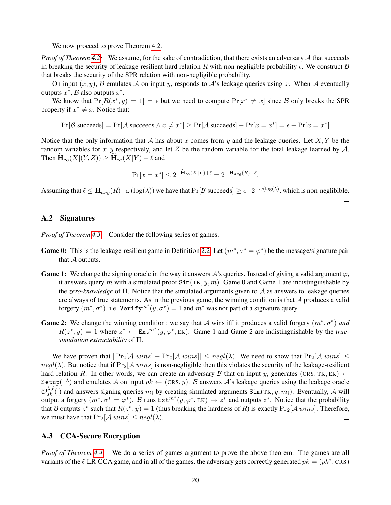We now proceed to prove Theorem [4.2.](#page-10-2)

*Proof of Theorem [4.2:](#page-10-2)* We assume, for the sake of contradiction, that there exists an adversary A that succeeds in breaking the security of leakage-resilient hard relation R with non-negligible probability  $\epsilon$ . We construct B that breaks the security of the SPR relation with non-negligible probability.

On input  $(x, y)$ , B emulates A on input y, responds to A's leakage queries using x. When A eventually outputs  $x^*$ ,  $\beta$  also outputs  $x^*$ .

We know that  $Pr[R(x^*, y) = 1] = \epsilon$  but we need to compute  $Pr[x^* \neq x]$  since B only breaks the SPR property if  $x^* \neq x$ . Notice that:

$$
Pr[\mathcal{B} \text{ succeeds}] = Pr[\mathcal{A} \text{ succeeds} \land x \neq x^*] \geq Pr[\mathcal{A} \text{ succeeds}] - Pr[x = x^*] = \epsilon - Pr[x = x^*]
$$

Notice that the only information that A has about x comes from y and the leakage queries. Let X, Y be the random variables for x, y respectively, and let Z be the random variable for the total leakage learned by  $A$ . Then  $\mathbf{H}_{\infty}(X|(Y,Z)) \geq \mathbf{H}_{\infty}(X|Y) - \ell$  and

$$
\Pr[x = x^*] \le 2^{-\mathbf{H}_{\infty}(X|Y) + \ell} = 2^{-\mathbf{H}_{avg}(R) + \ell}.
$$

Assuming that  $\ell \leq \mathbf{H}_{avg}(R) - \omega(\log(\lambda))$  we have that  $Pr[\mathcal{B}$  succeeds $] \geq \epsilon - 2^{-\omega(\log(\lambda))}$ , which is non-neglibible.  $\Box$ 

### <span id="page-20-0"></span>A.2 Signatures

*Proof of Theorem [4.3:](#page-10-3)* Consider the following series of games.

- **Game 0:** This is the leakage-resilient game in Definition [2.2.](#page-6-2) Let  $(m^*, \sigma^* = \varphi^*)$  be the message/signature pair that A outputs.
- **Game 1:** We change the signing oracle in the way it answers  $\mathcal{A}$ 's queries. Instead of giving a valid argument  $\varphi$ , it answers query m with a simulated proof  $\text{Sim(TK}, y, m)$ . Game 0 and Game 1 are indistinguishable by the *zero-knowledge* of Π. Notice that the simulated arguments given to A as answers to leakage queries are always of true statements. As in the previous game, the winning condition is that  $A$  produces a valid forgery  $(m^*, \sigma^*)$ , i.e. Verify $m^*(y, \sigma^*) = 1$  and  $m^*$  was not part of a signature query.
- Game 2: We change the winning condition: we say that A wins iff it produces a valid forgery  $(m^*, \sigma^*)$  and  $R(z^*, y) = 1$  where  $z^* \leftarrow \text{Ext}^{m^*}(y, \varphi^*, \text{EK})$ . Game 1 and Game 2 are indistinguishable by the *truesimulation extractability* of Π.

We have proven that  $|\Pr_2[A \text{ wins}] - \Pr_0[A \text{ wins}] | \leq \text{negl}(\lambda)$ . We need to show that  $\Pr_2[A \text{ wins}] \leq \text{negl}(\lambda)$  $negl(\lambda)$ . But notice that if  $Pr_2[\mathcal{A} wins]$  is non-negligible then this violates the security of the leakage-resilient hard relation R. In other words, we can create an adversary B that on input y, generates (CRS, TK, EK)  $\leftarrow$ Setup $(1^{\lambda})$  and emulates A on input  $pk \leftarrow (CRS, y)$ . B answers A's leakage queries using the leakage oracle  $\mathcal{O}_{sk}^{\lambda,\ell}(\cdot)$  and answers signing queries  $m_i$  by creating simulated arguments Sim(TK,  $y, m_i$ ). Eventually, A will output a forgery  $(m^*, \sigma^* = \varphi^*)$ . B runs  $Ext^{m^*}(y, \varphi^*, EK) \to z^*$  and outputs  $z^*$ . Notice that the probability that B outputs  $z^*$  such that  $R(z^*, y) = 1$  (thus breaking the hardness of R) is exactly  $Pr_2[A \text{ wins}]$ . Therefore, we must have that  $Pr_2[\mathcal{A} \text{ wins}] \leq negl(\lambda)$ .  $\Box$ 

### <span id="page-20-1"></span>A.3 CCA-Secure Encryption

*Proof of Theorem [4.4:](#page-10-4)* We do a series of games argument to prove the above theorem. The games are all variants of the  $\ell$ -LR-CCA game, and in all of the games, the adversary gets correctly generated  $pk = (pk^*, CRS)$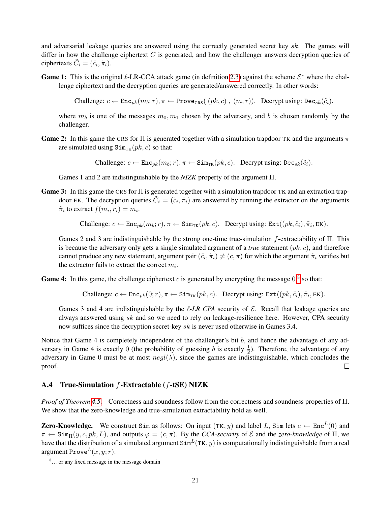and adversarial leakage queries are answered using the correctly generated secret key sk. The games will differ in how the challenge ciphertext  $C$  is generated, and how the challenger answers decryption queries of ciphertexts  $\tilde{C}_i = (\tilde{c}_i, \tilde{\pi}_i)$ .

Game 1: This is the original  $\ell$ -LR-CCA attack game (in definition [2.3\)](#page-6-1) against the scheme  $\mathcal{E}^*$  where the challenge ciphertext and the decryption queries are generated/answered correctly. In other words:

Challenge:  $c \leftarrow \text{Enc}_{pk}(m_b; r), \pi \leftarrow \text{Prove}_{CRS}((pk, c), (m, r)).$  Decrypt using:  $\text{Dec}_{sk}(\tilde{c}_i)$ .

where  $m_b$  is one of the messages  $m_0, m_1$  chosen by the adversary, and b is chosen randomly by the challenger.

Game 2: In this game the CRS for  $\Pi$  is generated together with a simulation trapdoor TK and the arguments  $\pi$ are simulated using  $\text{Sim}_{TK}(pk, c)$  so that:

Challenge:  $c \leftarrow \text{Enc}_{nk}(m_b; r), \pi \leftarrow \text{Sim}_{TK}(pk, c)$ . Decrypt using: Dec<sub>sk</sub>( $\tilde{c}_i$ ).

Games 1 and 2 are indistinguishable by the *NIZK* property of the argument Π.

**Game 3:** In this game the CRS for  $\Pi$  is generated together with a simulation trapdoor TK and an extraction trapdoor EK. The decryption queries  $\tilde{C}_i = (\tilde{c}_i, \tilde{\pi}_i)$  are answered by running the extractor on the arguments  $\tilde{\pi}_i$  to extract  $f(m_i, r_i) = m_i$ .

Challenge:  $c \leftarrow \text{Enc}_{pk}(m_b; r), \pi \leftarrow \text{Sim}_{TK}(pk, c)$ . Decrypt using:  $\text{Ext}((pk, \tilde{c}_i), \tilde{\pi}_i, \text{EK})$ .

Games 2 and 3 are indistinguishable by the strong one-time true-simulation f-extractability of Π. This is because the adversary only gets a single simulated argument of a *true* statement  $(pk, c)$ , and therefore cannot produce any new statement, argument pair  $(\tilde{c}_i, \tilde{\pi}_i) \neq (c, \pi)$  for which the argument  $\tilde{\pi}_i$  verifies but the extractor fails to extract the correct  $m_i$ .

Game 4: In this game, the challenge ciphertext  $c$  is generated by encrypting the message  $0^8$  $0^8$  so that:

Challenge:  $c \leftarrow \text{Enc}_{pk}(0; r), \pi \leftarrow \text{Sim}_{TK}(pk, c)$ . Decrypt using:  $\text{Ext}((pk, \tilde{c}_i), \tilde{\pi}_i, \text{EK})$ .

Games 3 and 4 are indistinguishable by the  $\ell$ -*LR CPA* security of  $\mathcal{E}$ . Recall that leakage queries are always answered using  $sk$  and so we need to rely on leakage-resilience here. However, CPA security now suffices since the decryption secret-key sk is never used otherwise in Games 3,4.

Notice that Game 4 is completely independent of the challenger's bit b, and hence the advantage of any adversary in Game 4 is exactly 0 (the probability of guessing b is exactly  $\frac{1}{2}$ ). Therefore, the advantage of any adversary in Game 0 must be at most  $negl(\lambda)$ , since the games are indistinguishable, which concludes the proof.  $\Box$ 

### <span id="page-21-0"></span>A.4 True-Simulation  $f$ -Extractable  $(f$ -tSE) NIZK

*Proof of Theorem [4.5:](#page-11-2)* Correctness and soundness follow from the correctness and soundness properties of Π. We show that the zero-knowledge and true-simulation extractability hold as well.

**Zero-Knowledge.** We construct Sim as follows: On input (TK, y) and label L, Sim lets  $c \leftarrow \text{Enc}^{L}(0)$  and  $\pi \leftarrow \text{Sim}_{\Pi}(y, c, pk, L)$ , and outputs  $\varphi = (c, \pi)$ . By the *CCA-security* of  $\mathcal E$  and the *zero-knowledge* of  $\Pi$ , we have that the distribution of a simulated argument  $\text{Sim}^L(\text{TK}, y)$  is computationally indistinguishable from a real argument Prove $L(x, y; r)$ .

<span id="page-21-1"></span><sup>&</sup>lt;sup>8</sup>... or any fixed message in the message domain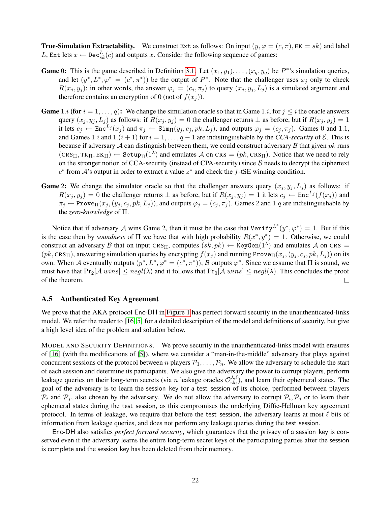**True-Simulation Extractability.** We construct Ext as follows: On input  $(y, \varphi = (c, \pi), E = sk)$  and label L, Ext lets  $x \leftarrow \text{Dec}_{sk}^{L}(c)$  and outputs x. Consider the following sequence of games:

- **Game 0:** This is the game described in Definition [3.1.](#page-8-0) Let  $(x_1, y_1), \ldots, (x_q, y_q)$  be  $P^*$ 's simulation queries, and let  $(y^*, L^*, \varphi^* = (c^*, \pi^*))$  be the output of  $P^*$ . Note that the challenger uses  $x_j$  only to check  $R(x_i, y_i)$ ; in other words, the answer  $\varphi_i = (c_i, \pi_i)$  to query  $(x_i, y_i, L_i)$  is a simulated argument and therefore contains an encryption of 0 (not of  $f(x_i)$ ).
- **Game** 1.*i* (for  $i = 1, ..., q$ ): We change the simulation oracle so that in Game 1.*i*, for  $j \leq i$  the oracle answers query  $(x_j, y_j, L_j)$  as follows: if  $R(x_j, y_j) = 0$  the challenger returns  $\perp$  as before, but if  $R(x_j, y_j) = 1$ it lets  $c_j \leftarrow \text{Enc}^{L_j}(x_j)$  and  $\pi_j \leftarrow \text{Sim}_{\Pi}(y_j, c_j, pk, L_j)$ , and outputs  $\varphi_j = (c_j, \pi_j)$ . Games 0 and 1.1, and Games 1.*i* and 1. $(i + 1)$  for  $i = 1, \ldots, q - 1$  are indistinguishable by the *CCA-security* of  $\mathcal{E}$ . This is because if adversary  $A$  can distinguish between them, we could construct adversary  $B$  that given  $pk$  runs  $(\text{CRS}_{\Pi}, \text{TK}_{\Pi}, \text{EK}_{\Pi}) \leftarrow \text{Setup}_{\Pi}(1^{\lambda})$  and emulates A on CRS =  $(pk, \text{CRS}_{\Pi})$ . Notice that we need to rely on the stronger notion of CCA-security (instead of CPA-security) since  $\beta$  needs to decrypt the ciphertext  $c^*$  from  $\mathcal{A}$ 's output in order to extract a value  $z^*$  and check the f-tSE winning condition.
- **Game** 2: We change the simulator oracle so that the challenger answers query  $(x_i, y_i, L_i)$  as follows: if  $R(x_j, y_j) = 0$  the challenger returns  $\perp$  as before, but if  $R(x_j, y_j) = 1$  it lets  $c_j \leftarrow \text{Enc}^{L_j}(f(x_j))$  and  $\pi_j \leftarrow \text{Prove}_{\Pi}(x_j, (y_j, c_j, pk, L_j))$ , and outputs  $\varphi_j = (c_j, \pi_j)$ . Games 2 and 1.q are indistinguishable by the *zero-knowledge* of Π.

Notice that if adversary A wins Game 2, then it must be the case that  $Verify^{L^*}(y^*, \varphi^*) = 1$ . But if this is the case then by *soundness* of  $\Pi$  we have that with high probability  $R(x^*, y^*) = 1$ . Otherwise, we could construct an adversary B that on input CRS<sub>II</sub>, computes  $(sk, pk) \leftarrow \text{KeyGen}(1^{\lambda})$  and emulates A on CRS =  $(pk, \text{CRS}_{\text{II}})$ , answering simulation queries by encrypting  $f(x_i)$  and running Prove $\text{tr}(x_i, (y_i, c_i, pk, L_i))$  on its own. When A eventually outputs  $(y^*, L^*, \varphi^* = (c^*, \pi^*))$ , B outputs  $\varphi^*$ . Since we assume that  $\Pi$  is sound, we must have that  $Pr_2[\mathcal{A} \text{ wins}] \leq negl(\lambda)$  and it follows that  $Pr_0[\mathcal{A} \text{ wins}] \leq negl(\lambda)$ . This concludes the proof of the theorem.  $\Box$ 

### A.5 Authenticated Key Agreement

We prove that the AKA protocol Enc-DH in [Figure 1](#page-23-0) has perfect forward security in the unauthenticated-links model. We refer the reader to [\[16,](#page-16-12) [5\]](#page-15-1) for a detailed description of the model and definitions of security, but give a high level idea of the problem and solution below.

MODEL AND SECURITY DEFINITIONS. We prove security in the unauthenticated-links model with erasures of [\[16\]](#page-16-12) (with the modifications of [\[5\]](#page-15-1)), where we consider a "man-in-the-middle" adversary that plays against concurrent sessions of the protocol between n players  $P_1, \ldots, P_n$ . We allow the adversary to schedule the start of each session and determine its participants. We also give the adversary the power to corrupt players, perform leakage queries on their long-term secrets (via n leakage oracles  $\mathcal{O}_{\text{sk}}^{\lambda,\ell}$  $\mathbf{x}_{\mathsf{sk}_i}^{\lambda,\ell}$ , and learn their ephemeral states. The goal of the adversary is to learn the session key for a test session of its choice, performed between players  $\mathcal{P}_i$  and  $\mathcal{P}_j$ , also chosen by the adversary. We do not allow the adversary to corrupt  $\mathcal{P}_i$ ,  $\mathcal{P}_j$  or to learn their ephemeral states during the test session, as this compromises the underlying Diffie-Hellman key agreement protocol. In terms of leakage, we require that before the test session, the adversary learns at most  $\ell$  bits of information from leakage queries, and does not perform any leakage queries during the test session.

Enc-DH also satisfies *perfect forward security*, which guarantees that the privacy of a session key is conserved even if the adversary learns the entire long-term secret keys of the participating parties after the session is complete and the session key has been deleted from their memory.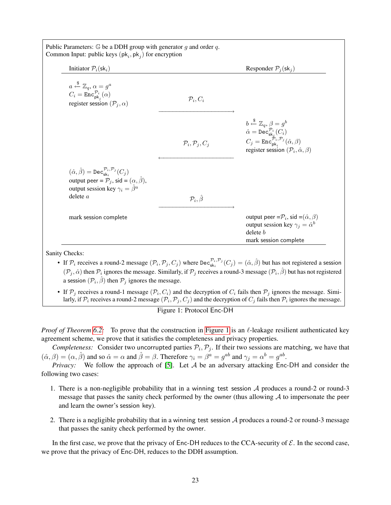| Initiator $P_i(\mathsf{sk}_i)$                                                                                                                                                                                                 |                                     | Responder $P_i(\mathsf{sk}_i)$                                                                                                                                                                                                                                                                                  |
|--------------------------------------------------------------------------------------------------------------------------------------------------------------------------------------------------------------------------------|-------------------------------------|-----------------------------------------------------------------------------------------------------------------------------------------------------------------------------------------------------------------------------------------------------------------------------------------------------------------|
| $a \stackrel{\$}{\leftarrow} \mathbb{Z}_q, \alpha = g^a$<br>$C_i = \mathtt{Enc}^{\mathcal{P}_i}_{\mathsf{pk}_i}(\alpha)$<br>register session $(\mathcal{P}_j, \alpha)$                                                         | $\mathcal{P}_i, C_i$                |                                                                                                                                                                                                                                                                                                                 |
|                                                                                                                                                                                                                                | $\mathcal{P}_i, \mathcal{P}_j, C_j$ | $b \stackrel{\$}{\leftarrow} \mathbb{Z}_q, \beta = g^b$<br>$\begin{array}{l} \hat{\alpha} = \texttt{Dec}^{\mathcal{P}_i}_{\textbf{sk}_j}(C_i) \\ C_j = \texttt{Enc}^{\mathcal{P}_i, \mathcal{P}_j}_{\textbf{pk}_i}(\hat{\alpha}, \beta) \end{array}$<br>register session $(\mathcal{P}_i, \hat{\alpha}, \beta)$ |
| $(\hat{\alpha}, \hat{\beta}) = \text{Dec}_{\text{sk},i}^{\mathcal{P}_i, \mathcal{P}_j}(C_i)$<br>output peer = $\mathcal{P}_i$ , sid = $(\alpha, \hat{\beta})$ ,<br>output session key $\gamma_i = \hat{\beta}^a$<br>delete $a$ | $\mathcal{P}_i, \hat{\beta}$        |                                                                                                                                                                                                                                                                                                                 |
| mark session complete                                                                                                                                                                                                          |                                     | output peer = $\mathcal{P}_i$ , sid = $(\hat{\alpha}, \beta)$<br>output session key $\gamma_i = \hat{\alpha}^b$<br>delete b<br>mark session complete                                                                                                                                                            |

• If  $\mathcal{P}_i$  receives a round-2 message  $(\mathcal{P}_i, \mathcal{P}_j, C_j)$  where  $\text{Dec}_{\text{sk}_i}^{\mathcal{P}_i, \mathcal{P}_j}(C_j) = (\hat{\alpha}, \hat{\beta})$  but has not registered a session  $(\mathcal{P}_j, \hat{\alpha})$  then  $\mathcal{P}_i$  ignores the message. Similarly, if  $\mathcal{P}_j$  receives a round-3 message  $(\mathcal{P}_i, \hat{\beta})$  but has not registered a session  $(\mathcal{P}_i, \hat{\beta})$  then  $\mathcal{P}_j$  ignores the message.

• If  $P_j$  receives a round-1 message  $(P_i, C_i)$  and the decryption of  $C_i$  fails then  $P_j$  ignores the message. Similarly, if  $\mathcal{P}_i$  receives a round-2 message  $(\mathcal{P}_i, \mathcal{P}_j, C_j)$  and the decryption of  $C_j$  fails then  $\mathcal{P}_i$  ignores the message.

<span id="page-23-0"></span>Figure 1: Protocol Enc-DH

*Proof of Theorem [6.2:](#page-15-6)* To prove that the construction in [Figure 1](#page-23-0) is an  $\ell$ -leakage resilient authenticated key agreement scheme, we prove that it satisfies the completeness and privacy properties.

*Completeness:* Consider two uncorrupted parties  $P_i, P_j$ . If their two sessions are matching, we have that  $(\hat{\alpha}, \beta) = (\alpha, \hat{\beta})$  and so  $\hat{\alpha} = \alpha$  and  $\hat{\beta} = \beta$ . Therefore  $\gamma_i = \beta^a = g^{ab}$  and  $\gamma_j = \alpha^b = g^{ab}$ .

*Privacy:* We follow the approach of [\[5\]](#page-15-1). Let A be an adversary attacking Enc-DH and consider the following two cases:

- 1. There is a non-negligible probability that in a winning test session A produces a round-2 or round-3 message that passes the sanity check performed by the owner (thus allowing  $A$  to impersonate the peer and learn the owner's session key).
- 2. There is a negligible probability that in a winning test session A produces a round-2 or round-3 message that passes the sanity check performed by the owner.

In the first case, we prove that the privacy of Enc-DH reduces to the CCA-security of  $\mathcal{E}$ . In the second case, we prove that the privacy of Enc-DH, reduces to the DDH assumption.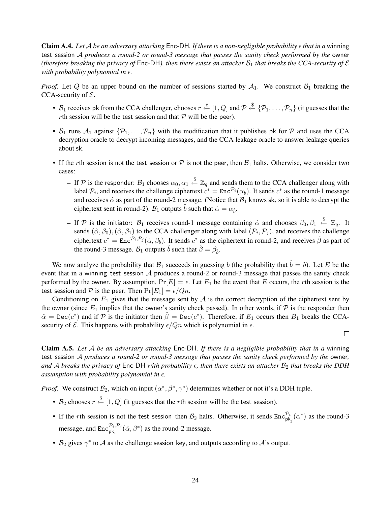**Claim A.4.** Let A be an adversary attacking Enc-DH. If there is a non-negligible probability  $\epsilon$  that in a winning test session A *produces a round-2 or round-3 message that passes the sanity check performed by the* owner *(therefore breaking the privacy of*  $Enc-DH$ *), then there exists an attacker*  $B_1$  *that breaks the CCA-security of*  $\mathcal E$ *with probability polynomial in*  $\epsilon$ *.* 

*Proof.* Let Q be an upper bound on the number of sessions started by  $A_1$ . We construct  $B_1$  breaking the CCA-security of  $\mathcal{E}$ .

- $\mathcal{B}_1$  receives pk from the CCA challenger, chooses  $r \stackrel{\$}{\leftarrow} [1, Q]$  and  $\mathcal{P} \stackrel{\$}{\leftarrow} \{\mathcal{P}_1, \ldots, \mathcal{P}_n\}$  (it guesses that the *rth* session will be the test session and that  $P$  will be the peer).
- $B_1$  runs  $A_1$  against  $\{P_1, \ldots, P_n\}$  with the modification that it publishes pk for P and uses the CCA decryption oracle to decrypt incoming messages, and the CCA leakage oracle to answer leakage queries about sk.
- If the rth session is not the test session or  $P$  is not the peer, then  $B_1$  halts. Otherwise, we consider two cases:
	- − If  $P$  is the responder:  $\mathcal{B}_1$  chooses  $\alpha_0, \alpha_1 \stackrel{\$}{\leftarrow} \mathbb{Z}_q$  and sends them to the CCA challenger along with label  $P_i$ , and receives the challenge ciphertext  $c^* = \text{Enc}^{\mathcal{P}_i}(\alpha_b)$ . It sends  $c^*$  as the round-1 message and receives  $\hat{\alpha}$  as part of the round-2 message. (Notice that  $\mathcal{B}_1$  knows sk<sub>i</sub> so it is able to decrypt the ciphertext sent in round-2).  $B_1$  outputs  $\hat{b}$  such that  $\hat{\alpha} = \alpha_{\hat{b}}$ .
	- If P is the initiator:  $\mathcal{B}_1$  receives round-1 message containing  $\hat{\alpha}$  and chooses  $\beta_0, \beta_1 \stackrel{\$}{\leftarrow} \mathbb{Z}_q$ . It sends  $(\hat{\alpha}, \beta_0), (\hat{\alpha}, \beta_1)$  to the CCA challenger along with label  $(\mathcal{P}_i, \mathcal{P}_j)$ , and receives the challenge ciphertext  $c^* = \text{Enc}^{\mathcal{P}_i, \mathcal{P}_j}(\hat{\alpha}, \beta_b)$ . It sends  $c^*$  as the ciphertext in round-2, and receives  $\hat{\beta}$  as part of the round-3 message.  $\mathcal{B}_1$  outputs  $\hat{b}$  such that  $\hat{\beta} = \beta_{\hat{b}}$ .

We now analyze the probability that  $B_1$  succeeds in guessing b (the probability that  $\hat{b} = b$ ). Let E be the event that in a winning test session  $A$  produces a round-2 or round-3 message that passes the sanity check performed by the owner. By assumption,  $Pr[E] = \epsilon$ . Let  $E_1$  be the event that E occurs, the rth session is the test session and P is the peer. Then  $Pr[E_1] = \epsilon/Qn$ .

Conditioning on  $E_1$  gives that the message sent by  $\mathcal A$  is the correct decryption of the ciphertext sent by the owner (since  $E_1$  implies that the owner's sanity check passed). In other words, if  $P$  is the responder then  $\hat{\alpha} = \text{Dec}(c^*)$  and if  $\hat{\beta}$  is the initiator then  $\hat{\beta} = \text{Dec}(c^*)$ . Therefore, if  $E_1$  occurs then  $B_1$  breaks the CCAsecurity of  $\mathcal E$ . This happens with probability  $\epsilon/Qn$  which is polynomial in  $\epsilon$ .

 $\Box$ 

Claim A.5. *Let* A *be an adversary attacking* Enc-DH*. If there is a negligible probability that in a* winning test session A *produces a round-2 or round-3 message that passes the sanity check performed by the* owner*,* and A breaks the privacy of  $Enc-DH$  with probability  $\epsilon$ , then there exists an attacker  $\mathcal{B}_2$  that breaks the DDH *assumption with probability polynomial in*  $\epsilon$ .

*Proof.* We construct  $\mathcal{B}_2$ , which on input  $(\alpha^*, \beta^*, \gamma^*)$  determines whether or not it's a DDH tuple.

- $\mathcal{B}_2$  chooses  $r \stackrel{\$}{\leftarrow} [1, Q]$  (it guesses that the rth session will be the test session).
- If the rth session is not the test session then  $B_2$  halts. Otherwise, it sends  $Enc_{pk_j}^{\mathcal{P}_i}(\alpha^*)$  as the round-3 message, and  $\text{Enc}^{\mathcal{P}_i, \mathcal{P}_j}_{\text{pk}_i}(\hat{\alpha}, \beta^*)$  as the round-2 message.
- $\mathcal{B}_2$  gives  $\gamma^*$  to  $\mathcal{A}$  as the challenge session key, and outputs according to  $\mathcal{A}$ 's output.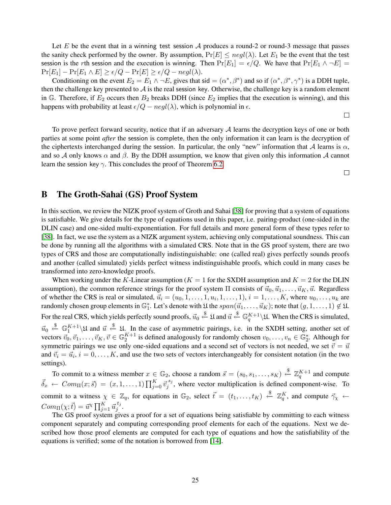Let E be the event that in a winning test session A produces a round-2 or round-3 message that passes the sanity check performed by the owner. By assumption,  $Pr[E] \leq negl(\lambda)$ . Let  $E_1$  be the event that the test session is the rth session and the execution is winning. Then  $Pr[E_1] = \epsilon/Q$ . We have that  $Pr[E_1 \land \neg E] =$  $Pr[E_1] - Pr[E_1 \wedge E] \ge \epsilon/Q - Pr[E] \ge \epsilon/Q - negl(\lambda).$ 

Conditioning on the event  $E_2 = E_1 \wedge \neg E$ , gives that sid =  $(\alpha^*, \beta^*)$  and so if  $(\alpha^*, \beta^*, \gamma^*)$  is a DDH tuple, then the challenge key presented to  $A$  is the real session key. Otherwise, the challenge key is a random element in G. Therefore, if  $E_2$  occurs then  $B_2$  breaks DDH (since  $E_2$  implies that the execution is winning), and this happens with probability at least  $\epsilon/Q - negl(\lambda)$ , which is polynomial in  $\epsilon$ .

 $\Box$ 

To prove perfect forward security, notice that if an adversary  $A$  learns the decryption keys of one or both parties at some point *after* the session is complete, then the only information it can learn is the decryption of the ciphertexts interchanged during the session. In particular, the only "new" information that A learns is  $\alpha$ , and so A only knows  $\alpha$  and  $\beta$ . By the DDH assumption, we know that given only this information A cannot learn the session key  $\gamma$ . This concludes the proof of Theorem [6.2.](#page-15-6)

 $\Box$ 

## <span id="page-25-0"></span>B The Groth-Sahai (GS) Proof System

In this section, we review the NIZK proof system of Groth and Sahai [\[38\]](#page-17-2) for proving that a system of equations is satisfiable. We give details for the type of equations used in this paper, i.e. pairing-product (one-sided in the DLIN case) and one-sided multi-exponentiation. For full details and more general form of these types refer to [\[38\]](#page-17-2). In fact, we use the system as a NIZK argument system, achieving only computational soundness. This can be done by running all the algorithms with a simulated CRS. Note that in the GS proof system, there are two types of CRS and those are computationally indistinguishable: one (called real) gives perfectly sounds proofs and another (called simulated) yields perfect witness indistinguishable proofs, which could in many cases be transformed into zero-knowledge proofs.

When working under the K-Linear assumption ( $K = 1$  for the SXDH assumption and  $K = 2$  for the DLIN assumption), the common reference strings for the proof system  $\Pi$  consists of  $\vec{u}_0, \vec{u}_1, \dots, \vec{u}_K, \vec{u}$ . Regardless of whether the CRS is real or simulated,  $\vec{u}_i = (u_0, 1, \dots, 1, u_i, 1, \dots, 1), i = 1, \dots, K$ , where  $u_0, \dots, u_k$  are randomly chosen group elements in  $\mathbb{G}_1^*$ . Let's denote with  $\mathfrak U$  the  $span(\vec u_1,\ldots,\vec u_K)$ ; note that  $(g,1,\ldots,1)\notin\mathfrak U$ . For the real CRS, which yields perfectly sound proofs,  $\vec{u}_0 \stackrel{\$}{\leftarrow} \mathfrak{U}$  and  $\vec{u} \stackrel{\$}{\leftarrow} \mathbb{G}_q^{K+1} \backslash \mathfrak{U}$ . When the CRS is simulated,  $\vec{u}_0 \stackrel{\$}{\leftarrow} \mathbb{G}_1^{K+1} \setminus \mathfrak{U}$  and  $\vec{u} \stackrel{\$}{\leftarrow} \mathfrak{U}$ . In the case of asymmetric pairings, i.e. in the SXDH setting, another set of vectors  $\vec{v}_0, \vec{v}_1, \dots, \vec{v}_K, \vec{v} \in \mathbb{G}_2^{K+1}$  is defined analogously for randomly chosen  $v_0, \dots, v_n \in \mathbb{G}_2^*$ . Although for symmetric pairings we use only one-sided equations and a second set of vectors is not needed, we set  $\vec{v} = \vec{u}$ and  $\vec{v}_i = \vec{u}_i, i = 0, \dots, K$ , and use the two sets of vectors interchangeably for consistent notation (in the two settings).

To commit to a witness member  $x \in \mathbb{G}_2$ , choose a random  $\vec{s} = (s_0, s_1, \dots, s_K) \stackrel{\$}{\leftarrow} \mathbb{Z}_q^{K+1}$  and compute  $\vec{\delta}_x \leftarrow Com_{\Pi}(x;\vec{s}) = (x,1,\ldots,1) \prod_{j=0}^K \vec{v}_j^{s_j}$ , where vector multiplication is defined component-wise. To commit to a witness  $\chi \in \mathbb{Z}_q$ , for equations in  $\mathbb{G}_2$ , select  $\vec{t} = (t_1, \ldots, t_K) \stackrel{\$}{\leftarrow} \mathbb{Z}_q^K$ , and compute  $\vec{\gamma}_\chi \leftarrow$  $Com_{\Pi}(\chi; \vec{t}) = \vec{u}^{\chi} \prod_{j=1}^{K} \vec{u}_j^{t_j}.$ 

The GS proof system gives a proof for a set of equations being satisfiable by committing to each witness component separately and computing corresponding proof elements for each of the equations. Next we described how those proof elements are computed for each type of equations and how the satisfiability of the equations is verified; some of the notation is borrowed from [\[14\]](#page-16-2).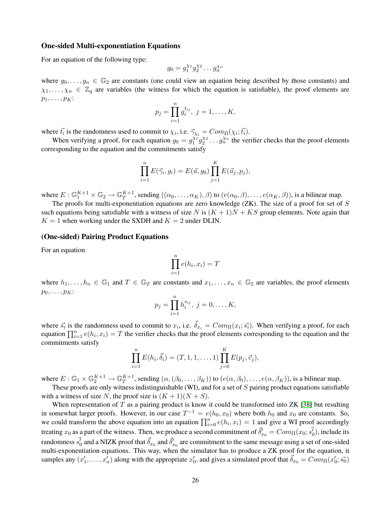### One-sided Multi-exponentiation Equations

For an equation of the following type:

$$
g_0 = g_1^{\chi_1} g_2^{\chi_2} \dots g_n^{\chi_n}
$$

where  $g_0, \ldots, g_n \in \mathbb{G}_2$  are constants (one could view an equation being described by those constants) and  $\chi_1, \ldots, \chi_n \in \mathbb{Z}_q$  are variables (the witness for which the equation is satisfiable), the proof elements are  $p_1, \ldots, p_K$ :

$$
p_j = \prod_{i=1}^n g_i^{t_{ij}}, \ j = 1, \dots, K,
$$

where  $\vec{t}_i$  is the randomness used to commit to  $\chi_i$ , i.e.  $\vec{\gamma}_{\chi_i} = Com_{\Pi}(\chi_i; \vec{t}_i)$ .

When verifying a proof, for each equation  $g_0 = g_1^{\chi_1} g_2^{\chi_2} \dots g_n^{\chi_n}$  the verifier checks that the proof elements corresponding to the equation and the commitments satisfy

$$
\prod_{i=1}^{n} E(\vec{\gamma}_i, g_i) = E(\vec{u}, g_0) \prod_{j=1}^{K} E(\vec{u}_j, p_j),
$$

where  $E: \mathbb{G}_1^{K+1} \times \mathbb{G}_2 \to \mathbb{G}_T^{K+1}$  $T^{K+1}_{T}$ , sending  $((\alpha_0,\ldots,\alpha_K),\beta)$  to  $(e(\alpha_0,\beta),\ldots,e(\alpha_K,\beta))$ , is a bilinear map.

The proofs for multi-exponentiation equations are zero knowledge  $(ZK)$ . The size of a proof for set of  $S$ such equations being satisfiable with a witness of size N is  $(K + 1)N + KS$  group elements. Note again that  $K = 1$  when working under the SXDH and  $K = 2$  under DLIN.

#### (One-sided) Pairing Product Equations

For an equation

$$
\prod_{i=1}^{n} e(h_i, x_i) = T
$$

where  $h_1, \ldots, h_n \in \mathbb{G}_1$  and  $T \in \mathbb{G}_T$  are constants and  $x_1, \ldots, x_n \in \mathbb{G}_2$  are variables, the proof elements  $p_0, \ldots, p_K$ :

$$
p_j = \prod_{i=1}^n h_i^{s_{ij}}, \ j = 0, \dots, K,
$$

where  $\vec{s_i}$  is the randomness used to commit to  $x_i$ , i.e.  $\vec{\delta}_{x_i} = Com_{\Pi}(x_i; \vec{s_i})$ . When verifying a proof, for each equation  $\prod_{i=1}^{n} e(h_i, x_i) = T$  the verifier checks that the proof elements corresponding to the equation and the commitments satisfy

$$
\prod_{i=1}^{n} E(h_i, \vec{\delta}_i) = (T, 1, 1, \dots, 1) \prod_{j=0}^{K} E(p_j, \vec{v}_j),
$$

where  $E : \mathbb{G}_1 \times \mathbb{G}_2^{K+1} \to \mathbb{G}_T^{K+1}$  $T^{K+1}_{T}$ , sending  $(\alpha, (\beta_0, \ldots, \beta_K))$  to  $(e(\alpha, \beta_0), \ldots, e(\alpha, \beta_K))$ , is a bilinear map.

These proofs are only witness indistinguishable (WI), and for a set of S pairing product equations satisfiable with a witness of size N, the proof size is  $(K + 1)(N + S)$ .

When representation of  $T$  as a pairing product is know it could be transformed into  $ZK$  [\[38\]](#page-17-2) but resulting in somewhat larger proofs. However, in our case  $T^{-1} = e(h_0, x_0)$  where both  $h_0$  and  $x_0$  are constants. So, we could transform the above equation into an equation  $\prod_{i=0}^{n} e(h_i, x_i) = 1$  and give a WI proof accordingly treating  $x_0$  as a part of the witness. Then, we produce a second commitment of  $\vec{\delta}'_{x_0}=Com_{\Pi}(x_0;\vec{s'_0})$ , include its randomness  $\vec{s_0}$  and a NIZK proof that  $\vec{\delta}_{x_0}$  and  $\vec{\delta}_{x_0}'$  are commitment to the same message using a set of one-sided multi-exponentiation equations. This way, when the simulator has to produce a ZK proof for the equation, it samples any  $(x'_1, \ldots, x'_n)$  along with the appropriate  $x'_0$ , and gives a simulated proof that  $\vec{\delta}_{x_0} = Com_{\Pi}(x'_0; \vec{s_0})$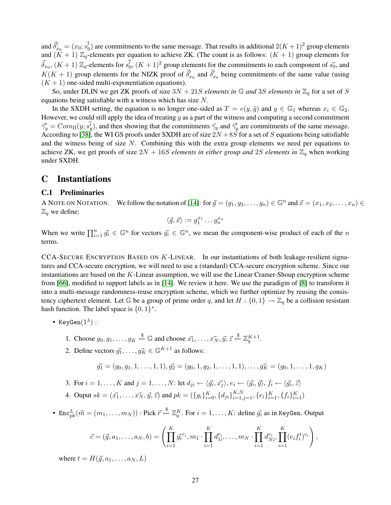and  $\vec{\delta}_{x_0}^{\prime} = (x_0; \vec{s_0})$  are commitments to the same message. That results in additional  $2(K+1)^2$  group elements and  $(K + 1)$   $\mathbb{Z}_q$ -elements per equation to achieve ZK. (The count is as follows:  $(K + 1)$  group elements for  $\vec{\delta}_{x_0}$ ,  $(K+1) \mathbb{Z}_q$ -elements for  $\vec{s_0}$ ,  $(K+1)^2$  group elements for the commitments to each component of  $\vec{s_0}$ , and  $K(K + 1)$  group elements for the NIZK proof of  $\vec{\delta}'_{x_0}$  and  $\vec{\delta}'_{x_0}$  being commitments of the same value (using  $(K + 1)$  one-sided multi-exponentiation equations).

So, under DLIN we get ZK proofs of size  $3N + 21S$  *elements in*  $\mathbb{G}$  *and* 3S *elements in*  $\mathbb{Z}_q$  for a set of S equations being satisfiable with a witness which has size N.

In the SXDH setting, the equation is no longer one-sided as  $T = e(y, \tilde{g})$  and  $y \in \mathbb{G}_1$  whereas  $x_i \in \mathbb{G}_2$ . However, we could still apply the idea of treating  $y$  as a part of the witness and computing a second commitment  $\vec{\gamma}'_y = Com_\Pi(y; \vec{s'_y})$ , and then showing that the commitments  $\vec{\gamma}_y$  and  $\vec{\gamma}'_y$  are commitments of the same message. According to [\[38\]](#page-17-2), the WI GS proofs under SXDH are of size  $2N + 8S$  for a set of S equations being satisfiable and the witness being of size  $N$ . Combining this with the extra group elements we need per equations to achieve ZK, we get proofs of size  $2N + 16S$  *elements in either group and*  $2S$  *elements in*  $\mathbb{Z}_q$  when working under SXDH.

## <span id="page-27-0"></span>C Instantiations

### C.1 Preliminaries

A NOTE ON NOTATION. We follow the notation of [\[14\]](#page-16-2): for  $\vec{g} = (g_1, g_2, \dots, g_n) \in \mathbb{G}^n$  and  $\vec{x} = (x_1, x_2, \dots, x_n) \in \mathbb{G}^n$  $\mathbb{Z}_q$  we define:

$$
\langle \vec{g}, \vec{x} \rangle := g_1^{x_1} \dots g_n^{x_n}
$$

When we write  $\prod_{i=1}^n \vec{g_i} \in \mathbb{G}^n$  for vectors  $\vec{g_i} \in \mathbb{G}^n$ , we mean the component-wise product of each of the n terms.

<span id="page-27-1"></span>CCA-SECURE ENCRYPTION BASED ON  $K$ -LINEAR. In our instantiations of both leakage-resilient signatures and CCA-secure encryption, we will need to use a (standard) CCA-secure encryption scheme. Since our instantiations are based on the  $K$ -Linear assumption, we will use the Linear Cramer-Shoup encryption scheme from [\[66\]](#page-19-9), modified to support labels as in [\[14\]](#page-16-2). We review it here. We use the paradigm of [\[8\]](#page-16-14) to transform it into a multi-message randomness-reuse encryption scheme, which we further optimize by reusing the consistency ciphertext element. Let G be a group of prime order q, and let  $H: \{0,1\} \to \mathbb{Z}_q$  be a collision resistant hash function. The label space is  $\{0, 1\}^*$ .

- KeyGen $(1^{\lambda})$  :
	- 1. Choose  $g_0, g_1, \ldots, g_K \stackrel{\$}{\leftarrow} \mathbb{G}$  and choose  $\vec{x_1}, \ldots, \vec{x_N}, \vec{y}, \vec{z} \stackrel{\$}{\leftarrow} \mathbb{Z}_q^{K+1}$ .
	- 2. Define vectors  $\vec{g}_1, \ldots, \vec{g}_K \in \mathbb{G}^{K+1}$  as follows:

$$
\vec{g_1} = (g_0, g_1, 1, \dots, 1, 1), \vec{g_2} = (g_0, 1, g_2, 1, \dots, 1, 1), \dots, \vec{g_K} = (g_0, 1, \dots, 1, g_K)
$$

3. For 
$$
i = 1, ..., K
$$
 and  $j = 1, ..., N$ : let  $d_{ji} \leftarrow \langle \vec{g_i}, \vec{x_j} \rangle$ ,  $e_i \leftarrow \langle \vec{g_i}, \vec{y} \rangle$ ,  $f_i \leftarrow \langle \vec{g_i}, \vec{z} \rangle$ 

- 4. Ouput  $sk = (\vec{x_1}, \dots, \vec{x_N}, \vec{y}, \vec{z})$  and  $pk = (\{g_i\}_{i=0}^K, \{d_{ji}\}_{i=1,j=1}^{K,N}, \{e_i\}_{i=1}^K, \{f_i\}_{i=1}^K)$
- Enc $_{pk}^L(\vec{m}=(m_1,\ldots,m_N))$  : Pick  $\vec{r} \stackrel{\$}{\leftarrow} \mathbb{Z}_q^K$ . For  $i=1,\ldots,K$ : define  $\vec{g_i}$  as in KeyGen. Output

$$
\vec{c} = (\vec{g}, a_1, \dots, a_N, b) = \left( \prod_{i=1}^K \vec{g_i}^{r_i}, m_1 \cdot \prod_{i=1}^K d_{1i}^{r_i}, \dots, m_N \cdot \prod_{i=1}^K d_{Ni}^{r_i}, \prod_{i=1}^K (e_i f_i^t)^{r_i} \right),
$$

where  $t = H(\vec{q}, a_1, \ldots, a_N, L)$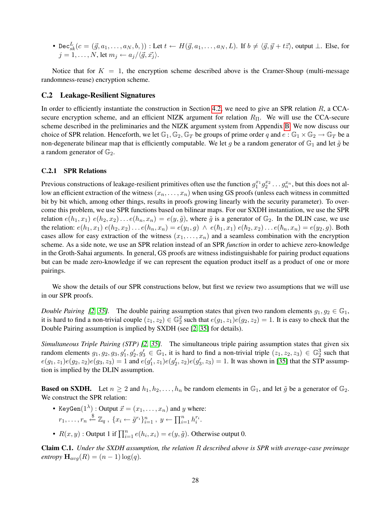• Dec ${}_{sk}^L(c = (\vec{g}, a_1, \ldots, a_N, b,))$  : Let  $t \leftarrow H(\vec{g}, a_1, \ldots, a_N, L)$ . If  $b \neq \langle \vec{g}, \vec{y} + t\vec{z} \rangle$ , output  $\perp$ . Else, for  $j = 1, \ldots, N$ , let  $m_j \leftarrow a_j / \langle \vec{q}, \vec{x_j} \rangle$ .

Notice that for  $K = 1$ , the encryption scheme described above is the Cramer-Shoup (multi-message randomness-reuse) encryption scheme.

### C.2 Leakage-Resilient Signatures

In order to efficiently instantiate the construction in Section [4.2,](#page-10-0) we need to give an SPR relation  $R$ , a CCAsecure encryption scheme, and an efficient NIZK argument for relation  $R_{\text{II}}$ . We will use the CCA-secure scheme described in the preliminaries and the NIZK argument system from Appendix [B.](#page-25-0) We now discuss our choice of SPR relation. Henceforth, we let  $\mathbb{G}_1, \mathbb{G}_2, \mathbb{G}_T$  be groups of prime order q and  $e : \mathbb{G}_1 \times \mathbb{G}_2 \to \mathbb{G}_T$  be a non-degenerate bilinear map that is efficiently computable. We let g be a random generator of  $\mathbb{G}_1$  and let  $\tilde{g}$  be a random generator of  $\mathbb{G}_2$ .

#### <span id="page-28-1"></span>C.2.1 SPR Relations

Previous constructions of leakage-resilient primitives often use the function  $g_1^{x_1}g_2^{x_2}\dots g_n^{x_n}$ , but this does not allow an efficient extraction of the witness  $(x_n, \ldots, x_n)$  when using GS proofs (unless each witness in committed bit by bit which, among other things, results in proofs growing linearly with the security parameter). To overcome this problem, we use SPR functions based on bilinear maps. For our SXDH instantiation, we use the SPR relation  $e(h_1, x_1)$   $e(h_2, x_2) \dots e(h_n, x_n) = e(y, \tilde{g})$ , where  $\tilde{g}$  is a generator of  $\mathbb{G}_2$ . In the DLIN case, we use the relation:  $e(h_1, x_1) e(h_2, x_2) \dots e(h_n, x_n) = e(y_1, g) \land e(h_1, x_1) e(h_2, x_2) \dots e(h_n, x_n) = e(y_2, g)$ . Both cases allow for easy extraction of the witness  $(x_1, \ldots, x_n)$  and a seamless combination with the encryption scheme. As a side note, we use an SPR relation instead of an SPR *function* in order to achieve zero-knowledge in the Groth-Sahai arguments. In general, GS proofs are witness indistinguishable for pairing product equations but can be made zero-knowledge if we can represent the equation product itself as a product of one or more pairings.

We show the details of our SPR constructions below, but first we review two assumptions that we will use in our SPR proofs.

*Double Pairing [\[2,](#page-15-7) [35\]](#page-17-16)*. The double pairing assumption states that given two random elements  $g_1, g_2 \in \mathbb{G}_1$ , it is hard to find a non-trivial couple  $(z_1, z_2) \in \mathbb{G}_2^2$  such that  $e(g_1, z_1)e(g_2, z_2) = 1$ . It is easy to check that the Double Pairing assumption is implied by SXDH (see [\[2,](#page-15-7) [35\]](#page-17-16) for details).

*Simultaneous Triple Pairing (STP) [\[2,](#page-15-7) [35\]](#page-17-16).* The simultaneous triple pairing assumption states that given six random elements  $g_1, g_2, g_3, g'_1, g'_2, g'_3 \in \mathbb{G}_1$ , it is hard to find a non-trivial triple  $(z_1, z_2, z_3) \in \mathbb{G}_2^3$  such that  $e(g_1, z_1)e(g_2, z_2)e(g_3, z_3) = 1$  and  $e(g'_1, z_1)e(g'_2, z_2)e(g'_3, z_3) = 1$ . It was shown in [\[35\]](#page-17-16) that the STP assumption is implied by the DLIN assumption.

**Based on SXDH.** Let  $n \geq 2$  and  $h_1, h_2, \ldots, h_n$  be random elements in  $\mathbb{G}_1$ , and let  $\tilde{g}$  be a generator of  $\mathbb{G}_2$ . We construct the SPR relation:

- KeyGen $(1^{\lambda})$ : Output  $\vec{x} = (x_1, \ldots, x_n)$  and y where:  $r_1, \ldots, r_n \stackrel{\$}{\leftarrow} \mathbb{Z}_q$ ,  $\{x_i \leftarrow \tilde{g}^{r_i}\}_{i=1}^n$ ,  $y \leftarrow \prod_{i=1}^n h_i^{r_i}$ .
- $R(x, y)$ : Output 1 if  $\prod_{i=1}^{n} e(h_i, x_i) = e(y, \tilde{g})$ . Otherwise output 0.

<span id="page-28-0"></span>Claim C.1. *Under the SXDH assumption, the relation* R *described above is SPR with average-case preimage entropy*  $\mathbf{H}_{avg}(R) = (n-1)\log(q)$ .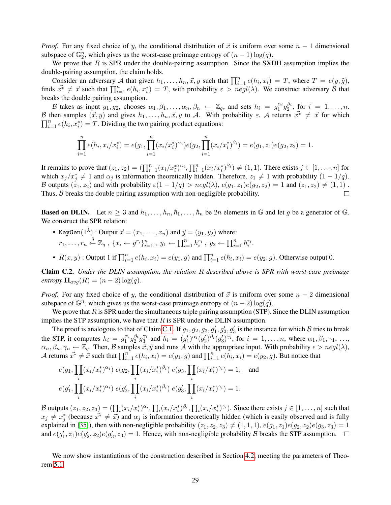*Proof.* For any fixed choice of y, the conditional distribution of  $\vec{x}$  is uniform over some  $n - 1$  dimensional subspace of  $\mathbb{G}_2^n$ , which gives us the worst-case preimage entropy of  $(n-1)\log(q)$ .

We prove that  $R$  is SPR under the double-pairing assumption. Since the SXDH assumption implies the double-pairing assumption, the claim holds.

Consider an adversary A that given  $h_1, \ldots, h_n, \vec{x}, y$  such that  $\prod_{i=1}^n e(h_i, x_i) = T$ , where  $T = e(y, \tilde{g})$ , finds  $\vec{x}^* \neq \vec{x}$  such that  $\prod_{i=1}^n e(h_i, x_i^*) = T$ , with probability  $\varepsilon > negl(\lambda)$ . We construct adversary  $\beta$  that breaks the double pairing assumption.

B takes as input  $g_1, g_2$ , chooses  $\alpha_1, \beta_1, \ldots, \alpha_n, \beta_n \leftarrow \mathbb{Z}_q$ , and sets  $h_i = g_1^{\alpha_i} g_2^{\beta_i}$ , for  $i = 1, \ldots, n$ . B then samples  $(\vec{x}, y)$  and gives  $h_1, \ldots, h_n, \vec{x}, y$  to A. With probability  $\varepsilon$ , A returns  $\vec{x}^* \neq \vec{x}$  for which  $\prod_{i=1}^{n} e(h_i, x_i^*) = T$ . Dividing the two pairing product equations:

$$
\prod_{i=1}^n e(h_i, x_i/x_i^*) = e(g_1, \prod_{i=1}^n (x_i/x_i^*)^{\alpha_i})e(g_2, \prod_{i=1}^n (x_i/x_i^*)^{\beta_i}) = e(g_1, z_1)e(g_2, z_2) = 1.
$$

It remains to prove that  $(z_1, z_2) = (\prod_{i=1}^n (x_i/x_i^*)^{\alpha_i}, \prod_{i=1}^n (x_i/x_i^*)^{\beta_i}) \neq (1, 1)$ . There exists  $j \in [1, \ldots, n]$  for which  $x_j/x_j^* \neq 1$  and  $\alpha_j$  is information theoretically hidden. Therefore,  $z_1 \neq 1$  with probability  $(1 - 1/q)$ . B outputs  $(z_1, z_2)$  and with probability  $\varepsilon(1 - 1/q) > negl(\lambda)$ ,  $e(g_1, z_1)e(g_2, z_2) = 1$  and  $(z_1, z_2) \neq (1, 1)$ . Thus, B breaks the double pairing assumption with non-negligible probability.  $\Box$ 

**Based on DLIN.** Let  $n \geq 3$  and  $h_1, \ldots, h_n, h_1, \ldots, h_n$  be 2n elements in G and let g be a generator of G. We construct the SPR relation:

- KeyGen $(1^{\lambda})$ : Output  $\vec{x} = (x_1, \ldots, x_n)$  and  $\vec{y} = (y_1, y_2)$  where:  $r_1, \ldots, r_n \stackrel{\$}{\leftarrow} \mathbb{Z}_q$ ,  $\{x_i \leftarrow g^{r_i}\}_{i=1}^n$ ,  $y_1 \leftarrow \prod_{i=1}^n h_i^{r_i}$ ,  $y_2 \leftarrow \prod_{i=1}^n h_i^{r_i}$ .
- $R(x, y)$ : Output 1 if  $\prod_{i=1}^{n} e(h_i, x_i) = e(y_1, g)$  and  $\prod_{i=1}^{n} e(h_i, x_i) = e(y_2, g)$ . Otherwise output 0.

<span id="page-29-0"></span>Claim C.2. *Under the DLIN assumption, the relation* R *described above is SPR with worst-case preimage entropy*  $\mathbf{H}_{avg}(R) = (n-2)\log(q)$ .

*Proof.* For any fixed choice of y, the conditional distribution of  $\vec{x}$  is uniform over some  $n-2$  dimensional subspace of  $\mathbb{G}^n$ , which gives us the worst-case preimage entropy of  $(n-2)\log(q)$ .

We prove that  $R$  is SPR under the simultaneous triple pairing assumption (STP). Since the DLIN assumption implies the STP assumption, we have that  $R$  is SPR under the DLIN assumption.

The proof is analogous to that of Claim [C.1.](#page-28-0) If  $g_1, g_2, g_3, g'_1, g'_2, g'_3$  is the instance for which B tries to break the STP, it computes  $h_i = g_1^{\alpha_i} g_2^{\beta_i} g_3^{\gamma_i}$  and  $\hbar_i = (g'_1)^{\alpha_i} (g'_2)^{\beta_i} (g'_3)^{\gamma_i}$ , for  $i = 1, \ldots, n$ , where  $\alpha_1, \beta_1, \gamma_1, \ldots, \beta_n$  $\alpha_n, \beta_n, \gamma_n \leftarrow \mathbb{Z}_q$ . Then, B samples  $\vec{x}, \vec{y}$  and runs A with the appropriate input. With probability  $\epsilon > negl(\lambda)$ , A returns  $\vec{x^*} \neq \dot{\vec{x}}$  such that  $\prod_{i=1}^n e(h_i, x_i) = e(y_1, g)$  and  $\prod_{i=1}^n e(\hbar_i, x_i) = e(y_2, g)$ . But notice that

$$
e(g_1, \prod_i (x_i/x_i^*)^{\alpha_i}) e(g_2, \prod_i (x_i/x_i^*)^{\beta_i}) e(g_3, \prod_i (x_i/x_i^*)^{\gamma_i}) = 1, \text{ and}
$$
  

$$
e(g_1', \prod_i (x_i/x_i^*)^{\alpha_i}) e(g_2', \prod_i (x_i/x_i^*)^{\beta_i}) e(g_3', \prod_i (x_i/x_i^*)^{\gamma_i}) = 1.
$$

B outputs  $(z_1, z_2, z_3) = (\prod_i (x_i/x_i^*)^{\alpha_i}, \prod_i (x_i/x_i^*)^{\beta_i}, \prod_i (x_i/x_i^*)^{\gamma_i})$ . Since there exists  $j \in [1, \ldots, n]$  such that  $x_j \neq x_j^*$  (because  $x^* \neq \overline{x}$ ) and  $\alpha_j$  is information theoretically hidden (which is easily observed and is fully explained in [\[35\]](#page-17-16)), then with non-negligible probability  $(z_1, z_2, z_3) \neq (1, 1, 1)$ ,  $e(g_1, z_1)e(g_2, z_2)e(g_3, z_3) = 1$ and  $e(g'_1, z_1)e(g'_2, z_2)e(g'_3, z_3) = 1$ . Hence, with non-negligible probability B breaks the STP assumption.

We now show instantiations of the construction described in Section [4.2,](#page-10-0) meeting the parameters of Theorem [5.1.](#page-13-1)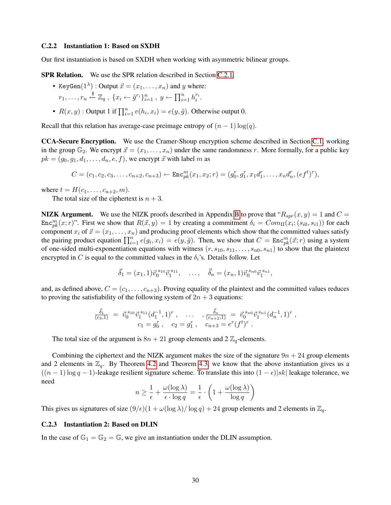#### C.2.2 Instantiation 1: Based on SXDH

Our first instantiation is based on SXDH when working with asymmetric bilinear groups.

SPR Relation. We use the SPR relation described in Section [C.2.1.](#page-28-1)

- KeyGen $(1^{\lambda})$ : Output  $\vec{x} = (x_1, \ldots, x_n)$  and y where:  $r_1, \ldots, r_n \stackrel{\$}{\leftarrow} \mathbb{Z}_q$ ,  $\{x_i \leftarrow \tilde{g}^{r_i}\}_{i=1}^n$ ,  $y \leftarrow \prod_{i=1}^n h_i^{r_i}$ .
- $R(x, y)$ : Output 1 if  $\prod_{i=1}^{n} e(h_i, x_i) = e(y, \tilde{g})$ . Otherwise output 0.

Recall that this relation has average-case preimage entropy of  $(n - 1) \log(q)$ .

CCA-Secure Encryption. We use the Cramer-Shoup encryption scheme described in Section [C.1,](#page-27-1) working in the group  $\mathbb{G}_2$ . We encrypt  $\vec{x} = (x_1, \ldots, x_n)$  under the same randomness r. More formally, for a public key  $pk = (g_0, g_1, d_1, \ldots, d_n, e, f)$ , we encrypt  $\vec{x}$  with label m as

$$
C = (c_1, c_2, c_3, \dots, c_{n+2}, c_{n+3}) \leftarrow \text{Enc}_{pk}^m(x_1, x_2; r) = (g_0^r, g_1^r, x_1 d_1^r, \dots, x_n d_n^r, (ef^t)^r),
$$

where  $t = H(c_1, ..., c_{n+2}, m)$ .

The total size of the ciphertext is  $n + 3$ .

**NIZK Argument.** We use the NIZK proofs described in Appendix [B](#page-25-0) to prove that " $R_{spr}(x, y) = 1$  and  $C =$ Enc<sup>m</sup><sub>k</sub> $(x; r)$ ". First we show that  $R(\vec{x}, y) = 1$  by creating a commitment  $\delta_i = Com_{\Pi}(x_i; (s_{i0}, s_{i1}))$  for each component  $x_i$  of  $\vec{x} = (x_1, \ldots, x_n)$  and producing proof elements which show that the committed values satisfy the pairing product equation  $\prod_{i=1}^{n} e(g_i, x_i) = e(y, \tilde{g})$ . Then, we show that  $C = \text{Enc}_{pk}^{m}(\vec{x}; r)$  using a system of one-sided multi-exponentiation equations with witness  $(r, s_{10}, s_{11}, \ldots, s_{n0}, s_{n1})$  to show that the plaintext encrypted in C is equal to the committed values in the  $\delta_i$ 's. Details follow. Let

$$
\vec{\delta}_1 = (x_1, 1) \vec{v}_0^{s_{10}} \vec{v}_1^{s_{11}}, \dots, \quad \vec{\delta}_n = (x_n, 1) \vec{v}_0^{s_{n0}} \vec{v}_1^{s_{n1}},
$$

and, as defined above,  $C = (c_1, \ldots, c_{n+3})$ . Proving equality of the plaintext and the committed values reduces to proving the satisfiability of the following system of  $2n + 3$  equations:

$$
\frac{\vec{\delta}_1}{(c_3,1)} = \vec{v}_0^{s_1} \vec{v}_1^{s_1} (d_1^{-1}, 1)^r, \quad \dots \quad , \frac{\vec{\delta}_n}{(c_{n+2},1)} = \vec{v}_0^{s_{n0}} \vec{v}_1^{s_{n1}} (d_n^{-1}, 1)^r, \nc_1 = g_0^r, \quad c_2 = g_1^r, \quad c_{n+3} = e^r (f^t)^r.
$$

The total size of the argument is  $8n + 21$  group elements and  $2 \mathbb{Z}_q$ -elements.

Combining the ciphertext and the NIZK argument makes the size of the signature  $9n + 24$  group elements and 2 elements in  $\mathbb{Z}_q$ . By Theorem [4.2](#page-10-2) and Theorem [4.3,](#page-10-3) we know that the above instantiation gives us a  $((n-1)\log q - 1)$ -leakage resilient signature scheme. To translate this into  $(1 - \epsilon)|sk|$  leakage tolerance, we need

$$
n \ge \frac{1}{\epsilon} + \frac{\omega(\log \lambda)}{\epsilon \cdot \log q} = \frac{1}{\epsilon} \cdot \left( 1 + \frac{\omega(\log \lambda)}{\log q} \right)
$$

This gives us signatures of size  $(9/\epsilon)(1 + \omega(\log \lambda)/\log q) + 24$  group elements and 2 elements in  $\mathbb{Z}_q$ .

### C.2.3 Instantiation 2: Based on DLIN

In the case of  $\mathbb{G}_1 = \mathbb{G}_2 = \mathbb{G}$ , we give an instantiation under the DLIN assumption.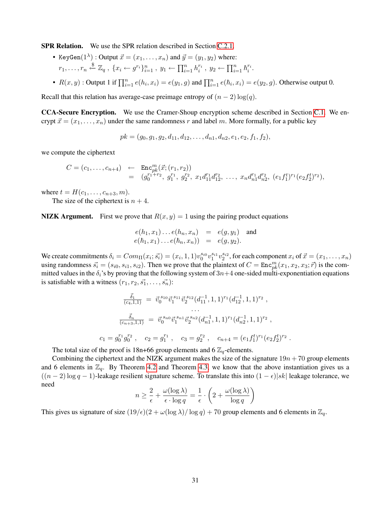SPR Relation. We use the SPR relation described in Section [C.2.1.](#page-28-1)

- KeyGen $(1^{\lambda})$ : Output  $\vec{x} = (x_1, \ldots, x_n)$  and  $\vec{y} = (y_1, y_2)$  where:  $r_1, \ldots, r_n \stackrel{\$}{\leftarrow} \mathbb{Z}_q$ ,  $\{x_i \leftarrow g^{r_i}\}_{i=1}^n$ ,  $y_1 \leftarrow \prod_{i=1}^n h_i^{r_i}$ ,  $y_2 \leftarrow \prod_{i=1}^n h_i^{r_i}$ .
- $R(x, y)$ : Output 1 if  $\prod_{i=1}^{n} e(h_i, x_i) = e(y_1, g)$  and  $\prod_{i=1}^{n} e(h_i, x_i) = e(y_2, g)$ . Otherwise output 0.

Recall that this relation has average-case preimage entropy of  $(n - 2) \log(q)$ .

CCA-Secure Encryption. We use the Cramer-Shoup encryption scheme described in Section [C.1.](#page-27-1) We encrypt  $\vec{x} = (x_1, \dots, x_n)$  under the same randomness r and label m. More formally, for a public key

 $pk = (g_0, g_1, g_2, d_{11}, d_{12}, \ldots, d_{n1}, d_{n2}, e_1, e_2, f_1, f_2),$ 

we compute the ciphertext

$$
C = (c_1, \ldots, c_{n+4}) \leftarrow \text{Enc}_{pk}^m(\vec{x}; (r_1, r_2))
$$
  
=  $(g_0^{r_1+r_2}, g_1^{r_1}, g_2^{r_2}, x_1d_{11}^{r_1}d_{12}^{r_2}, \ldots, x_nd_{n1}^{r_1}d_{n2}^{r_2}, (e_1f_1^t)^{r_1}(e_2f_2^t)^{r_2}),$ 

where  $t = H(c_1, ..., c_{n+3}, m)$ .

The size of the ciphertext is  $n + 4$ .

**NIZK Argument.** First we prove that  $R(x, y) = 1$  using the pairing product equations

$$
e(h_1, x_1) \dots e(h_n, x_n) = e(g, y_1) \text{ and } e(h_1, x_1) \dots e(h_n, x_n)) = e(g, y_2).
$$

We create commitments  $\delta_i = Com_\Pi(x_i; \vec{s_i}) = (x_i, 1, 1)v_0^{s_{i0}}v_1^{s_{i1}}v_2^{s_{i2}}$ , for each component  $x_i$  of  $\vec{x} = (x_1, \ldots, x_n)$ using randomness  $\vec{s_i} = (s_{i0}, s_{i1}, s_{i2})$ . Then we prove that the plaintext of  $C = \text{Enc}_{pk}^m(x_1, x_2, x_3; \vec{r})$  is the committed values in the  $\delta_i$ 's by proving that the following system of  $3n+4$  one-sided multi-exponentiation equations is satisfiable with a witness  $(r_1, r_2, \vec{s_1}, \dots, \vec{s_n})$ :

$$
\frac{\vec{\delta}_{1}}{(c_{4},1,1)} = \vec{v}_{0}^{s_{10}} \vec{v}_{1}^{s_{11}} \vec{v}_{2}^{s_{12}} (d_{11}^{-1}, 1, 1)^{r_{1}} (d_{12}^{-1}, 1, 1)^{r_{2}},
$$
  
\n...  
\n
$$
\frac{\vec{\delta}_{n}}{(c_{n+3},1,1)} = \vec{v}_{0}^{s_{n0}} \vec{v}_{1}^{s_{n1}} \vec{v}_{2}^{s_{n2}} (d_{n1}^{-1}, 1, 1)^{r_{1}} (d_{n2}^{-1}, 1, 1)^{r_{2}},
$$
  
\n
$$
c_{1} = g_{0}^{r_{1}} g_{0}^{r_{2}}, \quad c_{2} = g_{1}^{r_{1}}, \quad c_{3} = g_{2}^{r_{2}}, \quad c_{n+4} = (e_{1} f_{1}^{t})^{r_{1}} (e_{2} f_{2}^{t})^{r_{2}}
$$

.

The total size of the proof is 18n+66 group elements and 6  $\mathbb{Z}_q$ -elements.

Combining the ciphertext and the NIZK argument makes the size of the signature  $19n + 70$  group elements and 6 elements in  $\mathbb{Z}_q$ . By Theorem [4.2](#page-10-2) and Theorem [4.3,](#page-10-3) we know that the above instantiation gives us a  $((n-2)\log q - 1)$ -leakage resilient signature scheme. To translate this into  $(1 - \epsilon)|sk|$  leakage tolerance, we need

$$
n \ge \frac{2}{\epsilon} + \frac{\omega(\log \lambda)}{\epsilon \cdot \log q} = \frac{1}{\epsilon} \cdot \left(2 + \frac{\omega(\log \lambda)}{\log q}\right)
$$

This gives us signature of size  $(19/\epsilon)(2 + \omega(\log \lambda)/\log q) + 70$  group elements and 6 elements in  $\mathbb{Z}_q$ .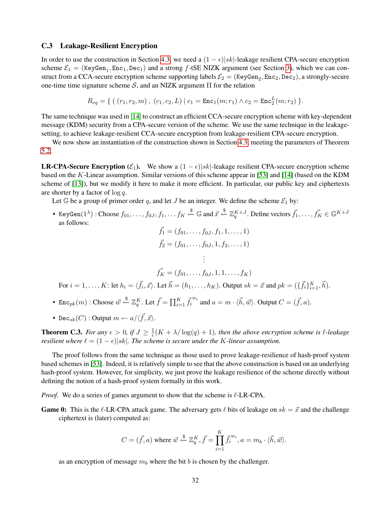### C.3 Leakage-Resilient Encryption

In order to use the construction in Section [4.3,](#page-10-1) we need a  $(1 - \epsilon) |sk|$ -leakage resilient CPA-secure encryption scheme  $\mathcal{E}_1$  = (KeyGen<sub>1</sub>, Enc<sub>1</sub>, Dec<sub>1</sub>) and a strong f-tSE NIZK argument (see Section [3\)](#page-7-0), which we can construct from a CCA-secure encryption scheme supporting labels  $\mathcal{E}_2 =$  (KeyGen<sub>2</sub>, Enc<sub>2</sub>, Dec<sub>2</sub>), a strongly-secure one-time time signature scheme S, and an NIZK argument  $\Pi$  for the relation

$$
R_{eq} = \{ (r_1, r_2, m), (c_1, c_2, L) | c_1 = \text{Enc}_1(m; r_1) \wedge c_2 = \text{Enc}_2^L(m; r_2) \}.
$$

The same technique was used in [[14](#page-16-2)] to construct an efficient CCA-secure encryption scheme with key-dependent message (KDM) security from a CPA-secure version of the scheme. We use the same technique in the leakagesetting, to achieve leakage-resilient CCA-secure encryption from leakage-resilient CPA-secure encryption.

We now show an instantiation of the construction shown in Section [4.3,](#page-10-1) meeting the parameters of Theorem [5.2.](#page-13-2)

**LR-CPA-Secure Encryption** ( $\mathcal{E}_1$ ). We show a  $(1 - \epsilon)|sk|$ -leakage resilient CPA-secure encryption scheme based on the K-Linear assumption. Similar versions of this scheme appear in [\[53\]](#page-18-0) and [\[14\]](#page-16-2) (based on the KDM scheme of [\[13\]](#page-16-15)), but we modify it here to make it more efficient. In particular, our public key and ciphertexts are shorter by a factor of  $\log q$ .

Let  $\mathbb G$  be a group of primer order q, and let J be an integer. We define the scheme  $\mathcal E_1$  by:

• KeyGen $(1^{\lambda})$ : Choose  $f_{01}, \ldots, f_{0J}, f_1, \ldots, f_K \stackrel{\$}{\leftarrow} \mathbb{G}$  and  $\vec{x} \stackrel{\$}{\leftarrow} \mathbb{Z}_q^{K+J}$ . Define vectors  $\vec{f}_1, \ldots, \vec{f}_K \in \mathbb{G}^{K+J}$ as follows:

$$
\vec{f}_1 = (f_{01}, \dots, f_{0J}, f_1, 1, \dots, 1) \n\vec{f}_2 = (f_{01}, \dots, f_{0J}, 1, f_2, \dots, 1) \n\vdots
$$

$$
\vec{f_K} = (f_{01}, \dots, f_{0J}, 1, 1, \dots, f_K)
$$
  
For  $i = 1, \dots, K$ : let  $h_i = \langle \vec{f_i}, \vec{x} \rangle$ . Let  $\vec{h} = (h_1, \dots, h_K)$ . Output  $sk = \vec{x}$  and  $pk = (\{\vec{f_i}\}_{i=1}^K, \vec{h})$ .

- Enc<sub>pk</sub> $(m)$ : Choose  $\vec{w} \stackrel{\$}{\leftarrow} \mathbb{Z}_q^K$ . Let  $\vec{f} = \prod_{i=1}^K \vec{f}_i^{w_i}$  and  $a = m \cdot \langle \vec{h}, \vec{w} \rangle$ . Output  $C = (\vec{f}, a)$ .
- De $\mathsf{c}_{sk}(C)$  : Output  $m \leftarrow a / \langle \vec{f}, \vec{x} \rangle$ .

<span id="page-32-0"></span>**Theorem C.3.** For any  $\epsilon > 0$ , if  $J \geq \frac{1}{\epsilon}$  $\frac{1}{\epsilon}(K + \lambda/\log(q) + 1)$ *, then the above encryption scheme is*  $\ell$ *-leakage resilient where*  $\ell = (1 - \epsilon)|sk|$ *. The scheme is secure under the K-linear assumption.* 

The proof follows from the same technique as those used to prove leakage-resilience of hash-proof system based schemes in [\[53\]](#page-18-0). Indeed, it is relatively simple to see that the above construction is based on an underlying hash-proof system. However, for simplicity, we just prove the leakage resilience of the scheme directly without defining the notion of a hash-proof system formally in this work.

*Proof.* We do a series of games argument to show that the scheme is  $\ell$ -LR-CPA.

**Game 0:** This is the  $\ell$ -LR-CPA attack game. The adversary gets  $\ell$  bits of leakage on  $sk = \vec{x}$  and the challenge ciphertext is (later) computed as:

$$
C=(\vec{f},a) \text{ where } \vec{w}\overset{\$}{\leftarrow}\mathbb{Z}^K_q, \vec{f}=\prod_{i=1}^K \vec{f_i}^{w_i}, a=m_b\cdot \langle \vec{h},\vec{w}\rangle.
$$

as an encryption of message  $m_b$  where the bit b is chosen by the challenger.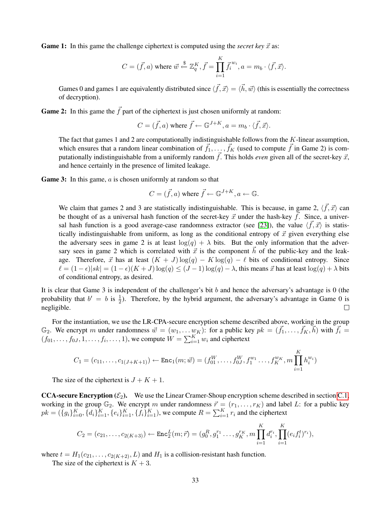**Game 1:** In this game the challenge ciphertext is computed using the *secret key*  $\vec{x}$  as:

$$
C = (\vec{f}, a) \text{ where } \vec{w} \stackrel{\$}{\leftarrow} \mathbb{Z}_q^K, \vec{f} = \prod_{i=1}^K \vec{f}_i^{w_i}, a = m_b \cdot \langle \vec{f}, \vec{x} \rangle.
$$

Games 0 and games 1 are equivalently distributed since  $\langle \vec{f}, \vec{x} \rangle = \langle \vec{h}, \vec{w} \rangle$  (this is essentially the correctness of decryption).

**Game 2:** In this game the  $\vec{f}$  part of the ciphertext is just chosen uniformly at random:

$$
C = (\vec{f}, a) \text{ where } \vec{f} \leftarrow \mathbb{G}^{J+K}, a = m_b \cdot \langle \vec{f}, \vec{x} \rangle.
$$

The fact that games 1 and 2 are computationally indistinguishable follows from the K-linear assumption, which ensures that a random linear combination of  $\vec{f}_1, \ldots, \vec{f}_K$  (used to compute  $\vec{f}$  in Game 2) is computationally indistinguishable from a uniformly random  $\vec{f}$ . This holds *even* given all of the secret-key  $\vec{x}$ , and hence certainly in the presence of limited leakage.

Game 3: In this game, a is chosen uniformly at random so that

$$
C = (\vec{f}, a) \text{ where } \vec{f} \leftarrow \mathbb{G}^{J+K}, a \leftarrow \mathbb{G}.
$$

We claim that games 2 and 3 are statistically indistinguishable. This is because, in game 2,  $\langle \vec{f}, \vec{x} \rangle$  can be thought of as a universal hash function of the secret-key  $\vec{x}$  under the hash-key  $\vec{f}$ . Since, a univer-sal hash function is a good average-case randomness extractor (see [\[23\]](#page-16-13)), the value  $\langle \vec{f}, \vec{x} \rangle$  is statistically indistinguishable from uniform, as long as the conditional entropy of  $\vec{x}$  given everything else the adversary sees in game 2 is at least  $log(q) + \lambda$  bits. But the only information that the adversary sees in game 2 which is correlated with  $\vec{x}$  is the component h of the public-key and the leakage. Therefore,  $\vec{x}$  has at least  $(K + J) \log(q) - K \log(q) - \ell$  bits of conditional entropy. Since  $\ell = (1 - \epsilon) |sk| = (1 - \epsilon)(K + J) \log(q) \le (J - 1) \log(q) - \lambda$ , this means  $\vec{x}$  has at least  $\log(q) + \lambda$  bits of conditional entropy, as desired.

It is clear that Game 3 is independent of the challenger's bit b and hence the adversary's advantage is 0 (the probability that  $b' = b$  is  $\frac{1}{2}$ ). Therefore, by the hybrid argument, the adversary's advantage in Game 0 is negligible.  $\Box$ 

For the instantiation, we use the LR-CPA-secure encryption scheme described above, working in the group  $\mathbb{G}_2$ . We encrypt m under randomness  $\vec{w} = (w_1, \dots w_K)$ : for a public key  $pk = (\vec{f}_1, \dots, \vec{f}_K, \vec{h})$  with  $\vec{f}_i =$  $(f_{01}, \ldots, f_{0J}, 1, \ldots, f_i, \ldots, 1)$ , we compute  $W = \sum_{i=1}^K w_i$  and ciphertext

$$
C_1 = (c_{11}, \ldots, c_{1(J+K+1)}) \leftarrow \text{Enc}_1(m; \vec{w}) = (f_{01}^W, \ldots, f_{0J}^W, f_1^{w_1} \ldots, f_K^{w_K}, m \prod_{i=1}^K h_i^{w_i})
$$

The size of the ciphertext is  $J + K + 1$ .

**CCA-secure Encryption** ( $\mathcal{E}_2$ ). We use the Linear Cramer-Shoup encryption scheme described in section [C.1,](#page-27-1) working in the group  $\mathbb{G}_2$ . We encrypt m under randomness  $\vec{r} = (r_1, \ldots, r_K)$  and label L: for a public key  $pk = (\{g_i\}_{i=0}^K, \{d_i\}_{i=1}^K, \{e_i\}_{i=1}^K, \{f_i\}_{i=1}^K)$ , we compute  $R = \sum_{i=1}^K r_i$  and the ciphertext

$$
C_2 = (c_{21}, \ldots, c_{2(K+3)}) \leftarrow \text{Enc}_2^L(m; \vec{r}) = (g_0^R, g_1^{r_1} \ldots, g_K^{r_K}, m \prod_{i=1}^K d_i^{r_i}, \prod_{i=1}^K (e_i f_i^t)^{r_i}),
$$

where  $t = H_1(c_{21}, \ldots, c_{2(K+2)}, L)$  and  $H_1$  is a collision-resistant hash function.

The size of the ciphertext is  $K + 3$ .